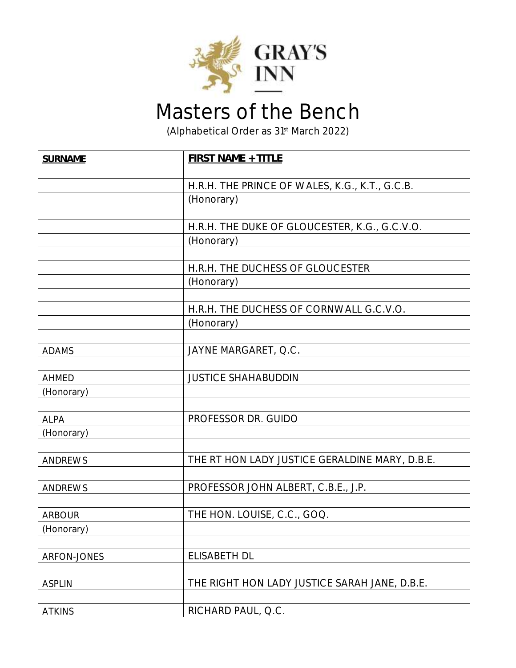

## Masters of the Bench

(Alphabetical Order as 31st March 2022)

| <b>SURNAME</b> | <b>FIRST NAME + TITLE</b>                      |
|----------------|------------------------------------------------|
|                |                                                |
|                | H.R.H. THE PRINCE OF WALES, K.G., K.T., G.C.B. |
|                | (Honorary)                                     |
|                |                                                |
|                | H.R.H. THE DUKE OF GLOUCESTER, K.G., G.C.V.O.  |
|                | (Honorary)                                     |
|                |                                                |
|                | H.R.H. THE DUCHESS OF GLOUCESTER               |
|                | (Honorary)                                     |
|                |                                                |
|                | H.R.H. THE DUCHESS OF CORNWALL G.C.V.O.        |
|                | (Honorary)                                     |
|                |                                                |
| <b>ADAMS</b>   | JAYNE MARGARET, Q.C.                           |
|                | <b>JUSTICE SHAHABUDDIN</b>                     |
| <b>AHMED</b>   |                                                |
| (Honorary)     |                                                |
| <b>ALPA</b>    | PROFESSOR DR. GUIDO                            |
| (Honorary)     |                                                |
|                |                                                |
| <b>ANDREWS</b> | THE RT HON LADY JUSTICE GERALDINE MARY, D.B.E. |
|                |                                                |
| ANDREWS        | PROFESSOR JOHN ALBERT, C.B.E., J.P.            |
|                |                                                |
| <b>ARBOUR</b>  | THE HON. LOUISE, C.C., GOQ.                    |
| (Honorary)     |                                                |
|                |                                                |
| ARFON-JONES    | <b>ELISABETH DL</b>                            |
|                |                                                |
| <b>ASPLIN</b>  | THE RIGHT HON LADY JUSTICE SARAH JANE, D.B.E.  |
|                |                                                |
| <b>ATKINS</b>  | RICHARD PAUL, Q.C.                             |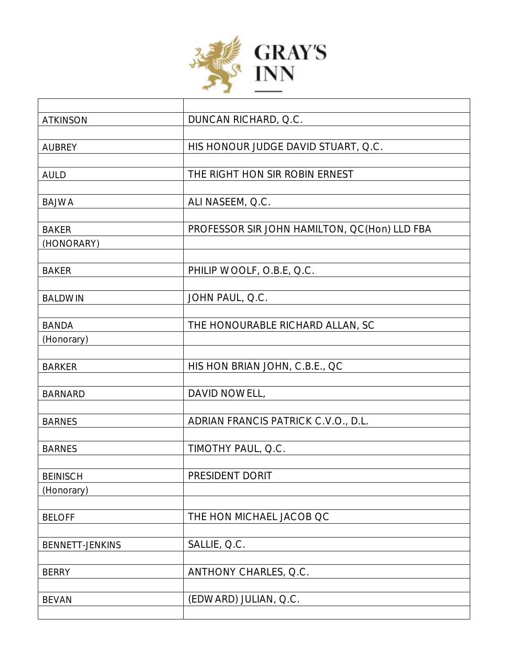

| <b>ATKINSON</b> | DUNCAN RICHARD, Q.C.                         |
|-----------------|----------------------------------------------|
|                 |                                              |
| <b>AUBREY</b>   | HIS HONOUR JUDGE DAVID STUART, Q.C.          |
|                 |                                              |
| <b>AULD</b>     | THE RIGHT HON SIR ROBIN ERNEST               |
|                 |                                              |
| <b>BAJWA</b>    | ALI NASEEM, Q.C.                             |
|                 |                                              |
| <b>BAKER</b>    | PROFESSOR SIR JOHN HAMILTON, QC(Hon) LLD FBA |
| (HONORARY)      |                                              |
|                 |                                              |
| <b>BAKER</b>    | PHILIP WOOLF, O.B.E, Q.C.                    |
|                 |                                              |
| <b>BALDWIN</b>  | JOHN PAUL, Q.C.                              |
|                 |                                              |
| <b>BANDA</b>    | THE HONOURABLE RICHARD ALLAN, SC             |
| (Honorary)      |                                              |
|                 |                                              |
| <b>BARKER</b>   | HIS HON BRIAN JOHN, C.B.E., QC               |
|                 | DAVID NOWELL,                                |
| <b>BARNARD</b>  |                                              |
| <b>BARNES</b>   | ADRIAN FRANCIS PATRICK C.V.O., D.L.          |
|                 |                                              |
| <b>BARNES</b>   | TIMOTHY PAUL, Q.C.                           |
|                 |                                              |
| <b>BEINISCH</b> | PRESIDENT DORIT                              |
| (Honorary)      |                                              |
|                 |                                              |
| <b>BELOFF</b>   | THE HON MICHAEL JACOB QC                     |
|                 |                                              |
| BENNETT-JENKINS | SALLIE, Q.C.                                 |
|                 |                                              |
| <b>BERRY</b>    | ANTHONY CHARLES, Q.C.                        |
|                 |                                              |
| <b>BEVAN</b>    | (EDWARD) JULIAN, Q.C.                        |
|                 |                                              |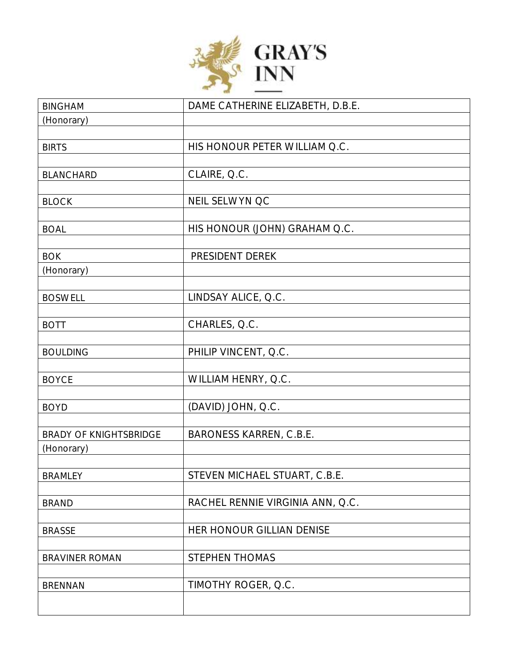

| <b>BINGHAM</b>                | DAME CATHERINE ELIZABETH, D.B.E. |
|-------------------------------|----------------------------------|
| (Honorary)                    |                                  |
|                               |                                  |
| <b>BIRTS</b>                  | HIS HONOUR PETER WILLIAM Q.C.    |
|                               |                                  |
| <b>BLANCHARD</b>              | CLAIRE, Q.C.                     |
|                               |                                  |
| <b>BLOCK</b>                  | NEIL SELWYN OC                   |
|                               |                                  |
| <b>BOAL</b>                   | HIS HONOUR (JOHN) GRAHAM Q.C.    |
|                               |                                  |
| <b>BOK</b>                    | PRESIDENT DEREK                  |
| (Honorary)                    |                                  |
| <b>BOSWELL</b>                | LINDSAY ALICE, Q.C.              |
|                               |                                  |
| <b>BOTT</b>                   | CHARLES, Q.C.                    |
|                               |                                  |
| <b>BOULDING</b>               | PHILIP VINCENT, Q.C.             |
|                               |                                  |
| <b>BOYCE</b>                  | WILLIAM HENRY, Q.C.              |
|                               |                                  |
| <b>BOYD</b>                   | (DAVID) JOHN, Q.C.               |
|                               |                                  |
| <b>BRADY OF KNIGHTSBRIDGE</b> | BARONESS KARREN, C.B.E.          |
| (Honorary)                    |                                  |
|                               |                                  |
| <b>BRAMLEY</b>                | STEVEN MICHAEL STUART, C.B.E.    |
|                               |                                  |
| <b>BRAND</b>                  | RACHEL RENNIE VIRGINIA ANN, Q.C. |
|                               |                                  |
| <b>BRASSE</b>                 | HER HONOUR GILLIAN DENISE        |
| <b>BRAVINER ROMAN</b>         | STEPHEN THOMAS                   |
|                               |                                  |
| <b>BRENNAN</b>                | TIMOTHY ROGER, Q.C.              |
|                               |                                  |
|                               |                                  |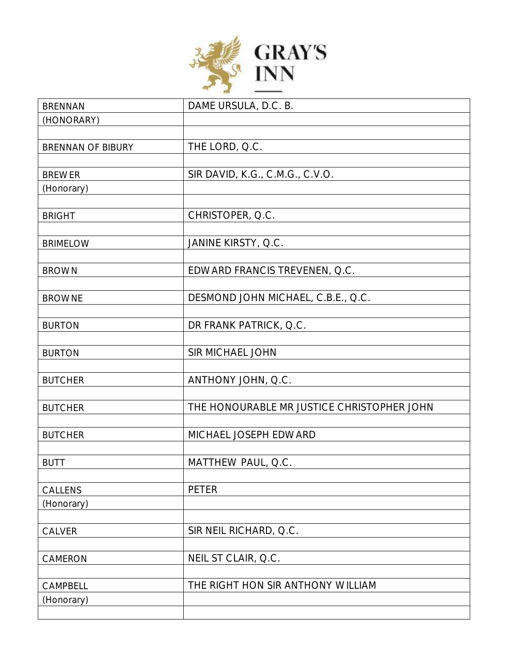

| <b>BRENNAN</b>    | DAME URSULA, D.C. B.                       |
|-------------------|--------------------------------------------|
| (HONORARY)        |                                            |
|                   |                                            |
| BRENNAN OF BIBURY | THE LORD, Q.C.                             |
|                   |                                            |
| <b>BREWER</b>     | SIR DAVID, K.G., C.M.G., C.V.O.            |
| (Honorary)        |                                            |
|                   |                                            |
| <b>BRIGHT</b>     | CHRISTOPER, Q.C.                           |
|                   |                                            |
| <b>BRIMELOW</b>   | JANINE KIRSTY, Q.C.                        |
|                   |                                            |
| <b>BROWN</b>      | EDWARD FRANCIS TREVENEN, Q.C.              |
|                   |                                            |
| <b>BROWNE</b>     | DESMOND JOHN MICHAEL, C.B.E., Q.C.         |
|                   |                                            |
| <b>BURTON</b>     | DR FRANK PATRICK, Q.C.                     |
|                   |                                            |
| <b>BURTON</b>     | SIR MICHAEL JOHN                           |
|                   |                                            |
| <b>BUTCHER</b>    | ANTHONY JOHN, Q.C.                         |
|                   |                                            |
| <b>BUTCHER</b>    | THE HONOURABLE MR JUSTICE CHRISTOPHER JOHN |
|                   |                                            |
| <b>BUTCHER</b>    | MICHAEL JOSEPH EDWARD                      |
|                   |                                            |
| <b>BUTT</b>       | MATTHEW PAUL, Q.C.                         |
|                   |                                            |
| CALLENS           | <b>PETER</b>                               |
| (Honorary)        |                                            |
|                   |                                            |
| CALVER            | SIR NEIL RICHARD, Q.C.                     |
|                   |                                            |
| CAMERON           | NEIL ST CLAIR, Q.C.                        |
|                   |                                            |
| CAMPBELL          | THE RIGHT HON SIR ANTHONY WILLIAM          |
| (Honorary)        |                                            |
|                   |                                            |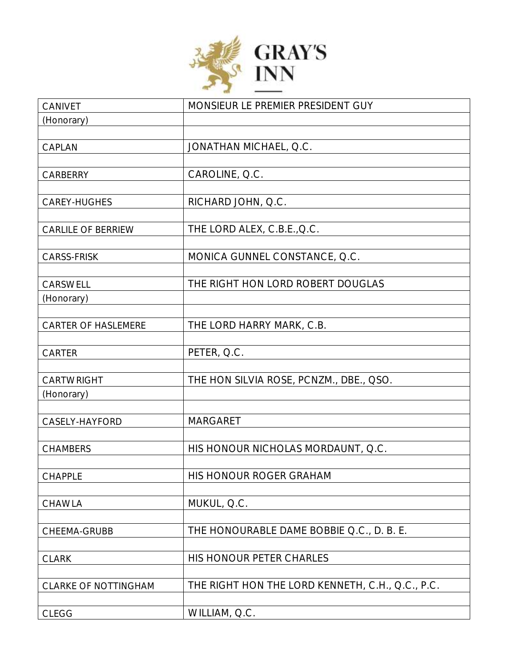

| CANIVET                    | MONSIEUR LE PREMIER PRESIDENT GUY                |
|----------------------------|--------------------------------------------------|
| (Honorary)                 |                                                  |
|                            |                                                  |
| CAPLAN                     | JONATHAN MICHAEL, Q.C.                           |
|                            |                                                  |
| CARBERRY                   | CAROLINE, Q.C.                                   |
| CAREY-HUGHES               | RICHARD JOHN, Q.C.                               |
|                            |                                                  |
| <b>CARLILE OF BERRIEW</b>  | THE LORD ALEX, C.B.E., Q.C.                      |
|                            |                                                  |
| CARSS-FRISK                | MONICA GUNNEL CONSTANCE, Q.C.                    |
|                            |                                                  |
| CARSWELL                   | THE RIGHT HON LORD ROBERT DOUGLAS                |
| (Honorary)                 |                                                  |
| <b>CARTER OF HASLEMERE</b> | THE LORD HARRY MARK, C.B.                        |
|                            |                                                  |
| CARTER                     | PETER, Q.C.                                      |
|                            |                                                  |
| CARTWRIGHT                 | THE HON SILVIA ROSE, PCNZM., DBE., QSO.          |
| (Honorary)                 |                                                  |
|                            |                                                  |
| CASELY-HAYFORD             | <b>MARGARET</b>                                  |
| <b>CHAMBERS</b>            | HIS HONOUR NICHOLAS MORDAUNT, Q.C.               |
|                            |                                                  |
| CHAPPLE                    | HIS HONOUR ROGER GRAHAM                          |
|                            |                                                  |
| CHAWLA                     | MUKUL, Q.C.                                      |
|                            |                                                  |
| CHEEMA-GRUBB               | THE HONOURABLE DAME BOBBIE Q.C., D. B. E.        |
|                            |                                                  |
| <b>CLARK</b>               | HIS HONOUR PETER CHARLES                         |
| CLARKE OF NOTTINGHAM       | THE RIGHT HON THE LORD KENNETH, C.H., Q.C., P.C. |
|                            |                                                  |
| <b>CLEGG</b>               | WILLIAM, Q.C.                                    |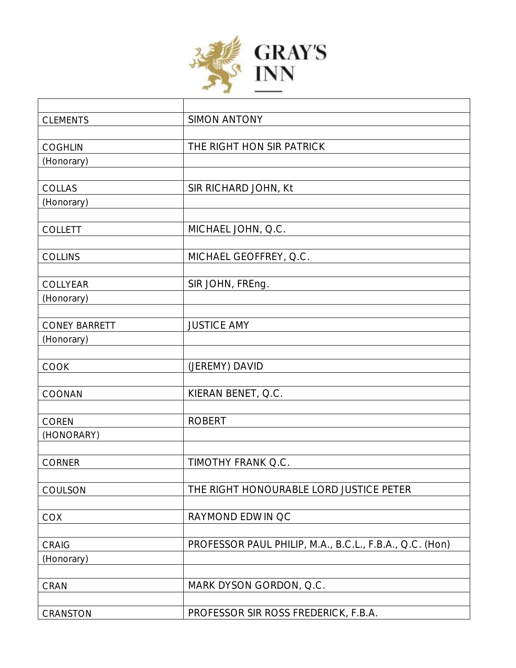

| <b>CLEMENTS</b>      | <b>SIMON ANTONY</b>                                     |
|----------------------|---------------------------------------------------------|
|                      |                                                         |
| <b>COGHLIN</b>       | THE RIGHT HON SIR PATRICK                               |
| (Honorary)           |                                                         |
|                      |                                                         |
| COLLAS               | SIR RICHARD JOHN, Kt                                    |
| (Honorary)           |                                                         |
|                      |                                                         |
| <b>COLLETT</b>       | MICHAEL JOHN, Q.C.                                      |
|                      |                                                         |
| <b>COLLINS</b>       | MICHAEL GEOFFREY, Q.C.                                  |
|                      |                                                         |
| COLLYEAR             | SIR JOHN, FREng.                                        |
| (Honorary)           |                                                         |
|                      |                                                         |
| <b>CONEY BARRETT</b> | <b>JUSTICE AMY</b>                                      |
| (Honorary)           |                                                         |
|                      |                                                         |
| COOK                 | (JEREMY) DAVID                                          |
|                      |                                                         |
| COONAN               | KIERAN BENET, Q.C.                                      |
|                      |                                                         |
| <b>COREN</b>         | <b>ROBERT</b>                                           |
| (HONORARY)           |                                                         |
|                      |                                                         |
| <b>CORNER</b>        | TIMOTHY FRANK Q.C.                                      |
| COULSON              | THE RIGHT HONOURABLE LORD JUSTICE PETER                 |
|                      |                                                         |
| <b>COX</b>           | RAYMOND EDWIN QC                                        |
|                      |                                                         |
| CRAIG                | PROFESSOR PAUL PHILIP, M.A., B.C.L., F.B.A., Q.C. (Hon) |
| (Honorary)           |                                                         |
|                      |                                                         |
| CRAN                 | MARK DYSON GORDON, Q.C.                                 |
|                      |                                                         |
| CRANSTON             | PROFESSOR SIR ROSS FREDERICK, F.B.A.                    |
|                      |                                                         |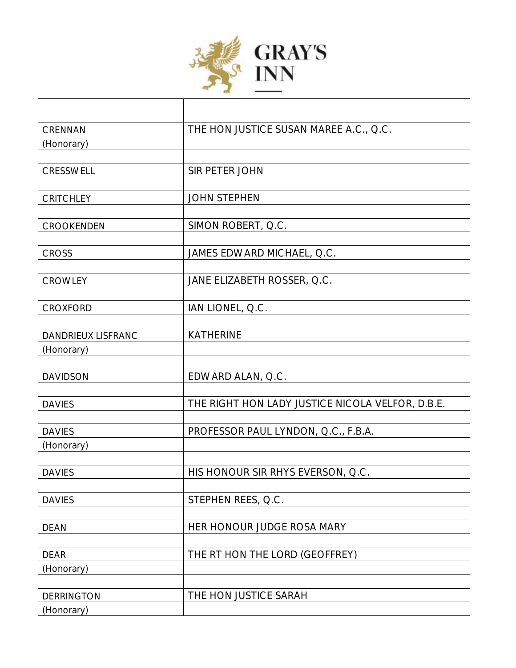

| CRENNAN            | THE HON JUSTICE SUSAN MAREE A.C., Q.C.           |
|--------------------|--------------------------------------------------|
| (Honorary)         |                                                  |
|                    |                                                  |
| CRESSWELL          | SIR PETER JOHN                                   |
|                    |                                                  |
| CRITCHLEY          | <b>JOHN STEPHEN</b>                              |
|                    |                                                  |
| CROOKENDEN         | SIMON ROBERT, Q.C.                               |
|                    |                                                  |
| <b>CROSS</b>       | JAMES EDWARD MICHAEL, Q.C.                       |
|                    |                                                  |
| CROWLEY            | JANE ELIZABETH ROSSER, Q.C.                      |
| <b>CROXFORD</b>    | IAN LIONEL, Q.C.                                 |
|                    |                                                  |
| DANDRIEUX LISFRANC | <b>KATHERINE</b>                                 |
| (Honorary)         |                                                  |
|                    |                                                  |
| <b>DAVIDSON</b>    | EDWARD ALAN, Q.C.                                |
|                    |                                                  |
| <b>DAVIES</b>      | THE RIGHT HON LADY JUSTICE NICOLA VELFOR, D.B.E. |
|                    |                                                  |
| <b>DAVIES</b>      | PROFESSOR PAUL LYNDON, Q.C., F.B.A.              |
| (Honorary)         |                                                  |
|                    |                                                  |
| <b>DAVIES</b>      | HIS HONOUR SIR RHYS EVERSON, Q.C.                |
| <b>DAVIES</b>      | STEPHEN REES, Q.C.                               |
|                    |                                                  |
| <b>DEAN</b>        | HER HONOUR JUDGE ROSA MARY                       |
|                    |                                                  |
| <b>DEAR</b>        | THE RT HON THE LORD (GEOFFREY)                   |
| (Honorary)         |                                                  |
|                    |                                                  |
| <b>DERRINGTON</b>  | THE HON JUSTICE SARAH                            |
| (Honorary)         |                                                  |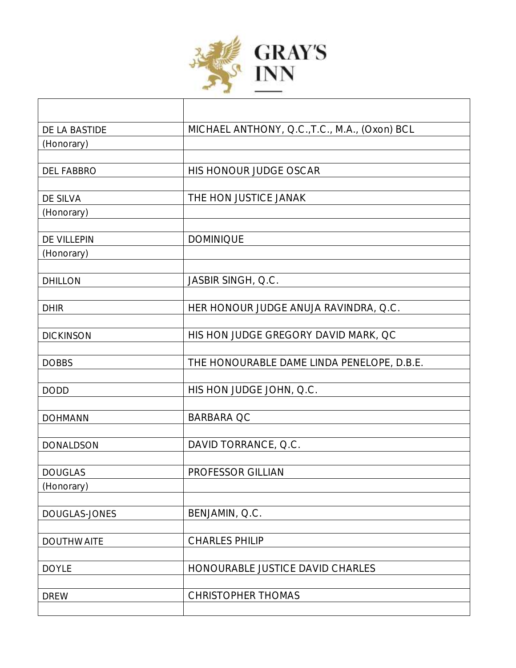

| DE LA BASTIDE     | MICHAEL ANTHONY, Q.C., T.C., M.A., (Oxon) BCL |
|-------------------|-----------------------------------------------|
| (Honorary)        |                                               |
|                   |                                               |
| <b>DEL FABBRO</b> | HIS HONOUR JUDGE OSCAR                        |
|                   |                                               |
| DE SILVA          | THE HON JUSTICE JANAK                         |
| (Honorary)        |                                               |
| DE VILLEPIN       | <b>DOMINIQUE</b>                              |
| (Honorary)        |                                               |
|                   |                                               |
| <b>DHILLON</b>    | JASBIR SINGH, Q.C.                            |
|                   |                                               |
| <b>DHIR</b>       | HER HONOUR JUDGE ANUJA RAVINDRA, Q.C.         |
|                   |                                               |
| <b>DICKINSON</b>  | HIS HON JUDGE GREGORY DAVID MARK, QC          |
|                   |                                               |
| <b>DOBBS</b>      | THE HONOURABLE DAME LINDA PENELOPE, D.B.E.    |
| <b>DODD</b>       | HIS HON JUDGE JOHN, Q.C.                      |
|                   |                                               |
| <b>DOHMANN</b>    | <b>BARBARA QC</b>                             |
|                   |                                               |
| <b>DONALDSON</b>  | DAVID TORRANCE, Q.C.                          |
|                   |                                               |
| <b>DOUGLAS</b>    | PROFESSOR GILLIAN                             |
| (Honorary)        |                                               |
|                   |                                               |
| DOUGLAS-JONES     | BENJAMIN, Q.C.                                |
|                   |                                               |
| <b>DOUTHWAITE</b> | <b>CHARLES PHILIP</b>                         |
| <b>DOYLE</b>      | HONOURABLE JUSTICE DAVID CHARLES              |
|                   |                                               |
| <b>DREW</b>       | <b>CHRISTOPHER THOMAS</b>                     |
|                   |                                               |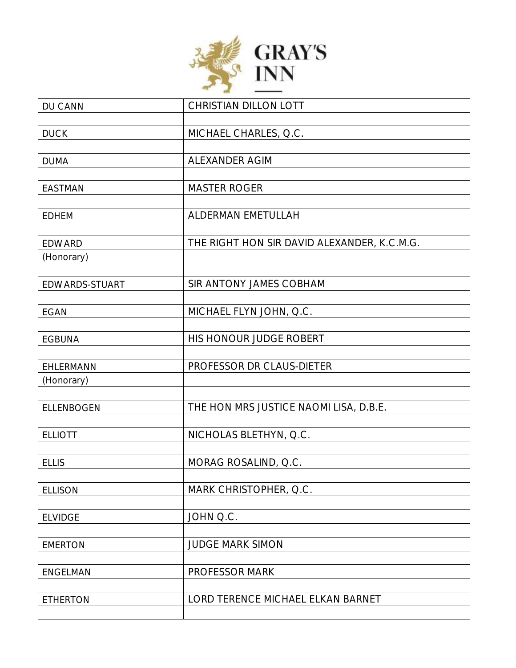

| DU CANN           | CHRISTIAN DILLON LOTT                       |
|-------------------|---------------------------------------------|
|                   |                                             |
| <b>DUCK</b>       | MICHAEL CHARLES, Q.C.                       |
|                   |                                             |
| <b>DUMA</b>       | <b>ALEXANDER AGIM</b>                       |
|                   |                                             |
| <b>EASTMAN</b>    | <b>MASTER ROGER</b>                         |
|                   |                                             |
| <b>EDHEM</b>      | ALDERMAN EMETULLAH                          |
|                   |                                             |
| <b>EDWARD</b>     | THE RIGHT HON SIR DAVID ALEXANDER, K.C.M.G. |
| (Honorary)        |                                             |
|                   |                                             |
| EDWARDS-STUART    | SIR ANTONY JAMES COBHAM                     |
|                   |                                             |
| <b>EGAN</b>       | MICHAEL FLYN JOHN, Q.C.                     |
|                   |                                             |
| <b>EGBUNA</b>     | HIS HONOUR JUDGE ROBERT                     |
|                   |                                             |
| EHLERMANN         | PROFESSOR DR CLAUS-DIETER                   |
| (Honorary)        |                                             |
|                   |                                             |
| <b>ELLENBOGEN</b> | THE HON MRS JUSTICE NAOMI LISA, D.B.E.      |
|                   |                                             |
| <b>ELLIOTT</b>    | NICHOLAS BLETHYN, Q.C.                      |
|                   |                                             |
| <b>ELLIS</b>      | MORAG ROSALIND, Q.C.                        |
|                   |                                             |
| <b>ELLISON</b>    | MARK CHRISTOPHER, Q.C.                      |
|                   |                                             |
| <b>ELVIDGE</b>    | JOHN Q.C.                                   |
|                   |                                             |
| <b>EMERTON</b>    | <b>JUDGE MARK SIMON</b>                     |
|                   |                                             |
| <b>ENGELMAN</b>   | PROFESSOR MARK                              |
|                   |                                             |
| <b>ETHERTON</b>   | LORD TERENCE MICHAEL ELKAN BARNET           |
|                   |                                             |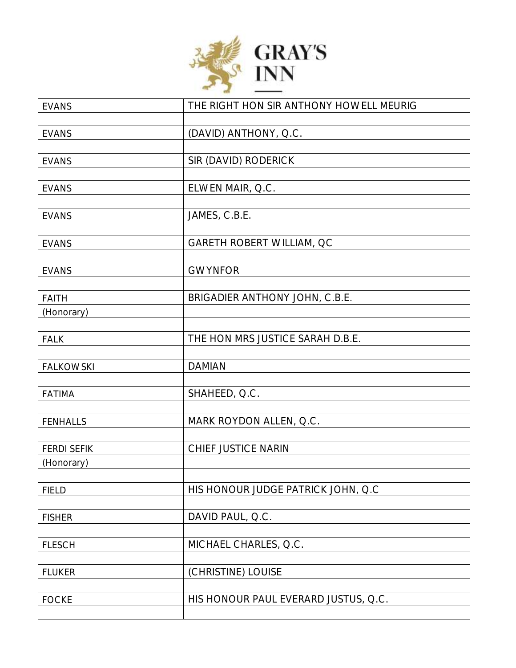

| <b>EVANS</b>       | THE RIGHT HON SIR ANTHONY HOWELL MEURIG |
|--------------------|-----------------------------------------|
| <b>EVANS</b>       |                                         |
|                    | (DAVID) ANTHONY, Q.C.                   |
| <b>EVANS</b>       | SIR (DAVID) RODERICK                    |
|                    |                                         |
| <b>EVANS</b>       | ELWEN MAIR, Q.C.                        |
| <b>EVANS</b>       | JAMES, C.B.E.                           |
|                    |                                         |
| <b>EVANS</b>       | GARETH ROBERT WILLIAM, QC               |
| <b>EVANS</b>       | <b>GWYNFOR</b>                          |
|                    |                                         |
| <b>FAITH</b>       | BRIGADIER ANTHONY JOHN, C.B.E.          |
| (Honorary)         |                                         |
|                    |                                         |
| <b>FALK</b>        | THE HON MRS JUSTICE SARAH D.B.E.        |
| <b>FALKOWSKI</b>   | <b>DAMIAN</b>                           |
|                    |                                         |
| <b>FATIMA</b>      | SHAHEED, Q.C.                           |
| <b>FENHALLS</b>    | MARK ROYDON ALLEN, Q.C.                 |
|                    |                                         |
| <b>FERDI SEFIK</b> | CHIEF JUSTICE NARIN                     |
| (Honorary)         |                                         |
| <b>FIELD</b>       | HIS HONOUR JUDGE PATRICK JOHN, Q.C      |
|                    |                                         |
| <b>FISHER</b>      | DAVID PAUL, Q.C.                        |
|                    |                                         |
| <b>FLESCH</b>      | MICHAEL CHARLES, Q.C.                   |
| <b>FLUKER</b>      | (CHRISTINE) LOUISE                      |
|                    |                                         |
| <b>FOCKE</b>       | HIS HONOUR PAUL EVERARD JUSTUS, Q.C.    |
|                    |                                         |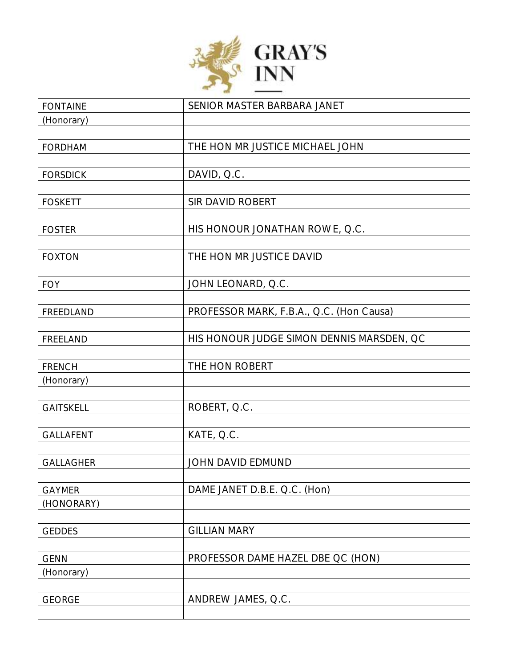

| <b>FONTAINE</b>  | SENIOR MASTER BARBARA JANET               |
|------------------|-------------------------------------------|
| (Honorary)       |                                           |
|                  |                                           |
| <b>FORDHAM</b>   | THE HON MR JUSTICE MICHAEL JOHN           |
|                  |                                           |
| <b>FORSDICK</b>  | DAVID, Q.C.                               |
|                  |                                           |
| <b>FOSKETT</b>   | SIR DAVID ROBERT                          |
|                  |                                           |
| <b>FOSTER</b>    | HIS HONOUR JONATHAN ROWE, Q.C.            |
|                  |                                           |
| <b>FOXTON</b>    | THE HON MR JUSTICE DAVID                  |
|                  |                                           |
| <b>FOY</b>       | JOHN LEONARD, Q.C.                        |
| FREEDLAND        |                                           |
|                  | PROFESSOR MARK, F.B.A., Q.C. (Hon Causa)  |
| FREELAND         | HIS HONOUR JUDGE SIMON DENNIS MARSDEN, QC |
|                  |                                           |
| <b>FRENCH</b>    | THE HON ROBERT                            |
| (Honorary)       |                                           |
|                  |                                           |
| <b>GAITSKELL</b> | ROBERT, Q.C.                              |
|                  |                                           |
| GALLAFENT        | KATE, Q.C.                                |
|                  |                                           |
| <b>GALLAGHER</b> | JOHN DAVID EDMUND                         |
|                  |                                           |
| <b>GAYMER</b>    | DAME JANET D.B.E. Q.C. (Hon)              |
| (HONORARY)       |                                           |
|                  |                                           |
| <b>GEDDES</b>    | <b>GILLIAN MARY</b>                       |
|                  |                                           |
| <b>GENN</b>      | PROFESSOR DAME HAZEL DBE QC (HON)         |
| (Honorary)       |                                           |
|                  |                                           |
| <b>GEORGE</b>    | ANDREW JAMES, Q.C.                        |
|                  |                                           |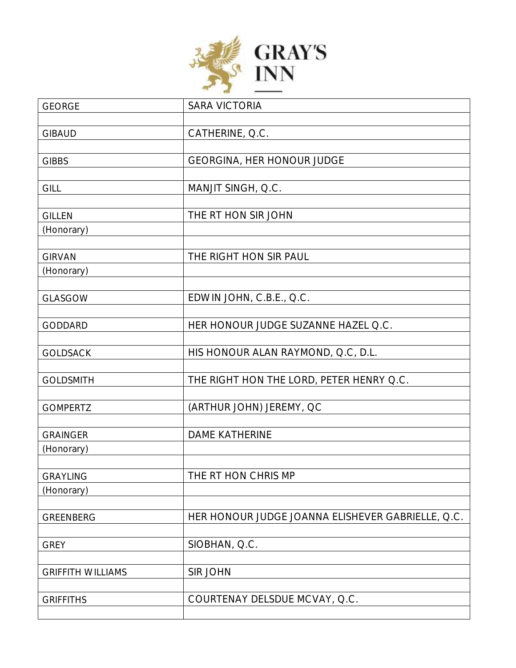

| <b>GEORGE</b>            | <b>SARA VICTORIA</b>                              |
|--------------------------|---------------------------------------------------|
|                          |                                                   |
| <b>GIBAUD</b>            | CATHERINE, Q.C.                                   |
|                          |                                                   |
| <b>GIBBS</b>             | GEORGINA, HER HONOUR JUDGE                        |
|                          |                                                   |
| GILL                     | MANJIT SINGH, Q.C.                                |
|                          |                                                   |
| <b>GILLEN</b>            | THE RT HON SIR JOHN                               |
| (Honorary)               |                                                   |
|                          |                                                   |
| <b>GIRVAN</b>            | THE RIGHT HON SIR PAUL                            |
| (Honorary)               |                                                   |
|                          |                                                   |
| GLASGOW                  | EDWIN JOHN, C.B.E., Q.C.                          |
|                          |                                                   |
| <b>GODDARD</b>           | HER HONOUR JUDGE SUZANNE HAZEL Q.C.               |
|                          |                                                   |
| <b>GOLDSACK</b>          | HIS HONOUR ALAN RAYMOND, Q.C, D.L.                |
|                          |                                                   |
| <b>GOLDSMITH</b>         | THE RIGHT HON THE LORD, PETER HENRY Q.C.          |
|                          |                                                   |
| <b>GOMPERTZ</b>          | (ARTHUR JOHN) JEREMY, QC                          |
| <b>GRAINGER</b>          | <b>DAME KATHERINE</b>                             |
|                          |                                                   |
| (Honorary)               |                                                   |
| <b>GRAYLING</b>          | THE RT HON CHRIS MP                               |
| (Honorary)               |                                                   |
|                          |                                                   |
| GREENBERG                | HER HONOUR JUDGE JOANNA ELISHEVER GABRIELLE, Q.C. |
|                          |                                                   |
| <b>GREY</b>              | SIOBHAN, Q.C.                                     |
|                          |                                                   |
| <b>GRIFFITH WILLIAMS</b> | <b>SIR JOHN</b>                                   |
|                          |                                                   |
| <b>GRIFFITHS</b>         | COURTENAY DELSDUE MCVAY, Q.C.                     |
|                          |                                                   |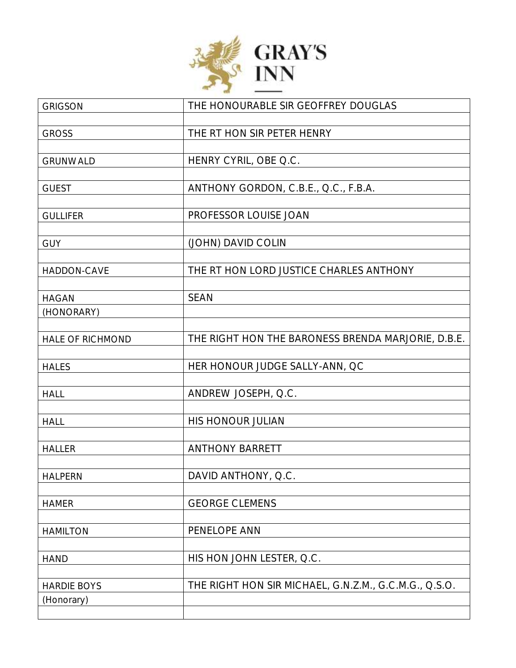

| <b>GRIGSON</b>          | THE HONOURABLE SIR GEOFFREY DOUGLAS                   |
|-------------------------|-------------------------------------------------------|
|                         |                                                       |
| <b>GROSS</b>            | THE RT HON SIR PETER HENRY                            |
|                         |                                                       |
| <b>GRUNWALD</b>         | HENRY CYRIL, OBE Q.C.                                 |
|                         |                                                       |
| <b>GUEST</b>            | ANTHONY GORDON, C.B.E., Q.C., F.B.A.                  |
|                         |                                                       |
| <b>GULLIFER</b>         | PROFESSOR LOUISE JOAN                                 |
|                         |                                                       |
| <b>GUY</b>              | (JOHN) DAVID COLIN                                    |
|                         |                                                       |
| HADDON-CAVE             | THE RT HON LORD JUSTICE CHARLES ANTHONY               |
|                         |                                                       |
| <b>HAGAN</b>            | <b>SEAN</b>                                           |
| (HONORARY)              |                                                       |
|                         |                                                       |
| <b>HALE OF RICHMOND</b> | THE RIGHT HON THE BARONESS BRENDA MARJORIE, D.B.E.    |
|                         |                                                       |
| <b>HALES</b>            | HER HONOUR JUDGE SALLY-ANN, QC                        |
|                         |                                                       |
| <b>HALL</b>             | ANDREW JOSEPH, Q.C.                                   |
|                         | HIS HONOUR JULIAN                                     |
| <b>HALL</b>             |                                                       |
| <b>HALLER</b>           | <b>ANTHONY BARRETT</b>                                |
|                         |                                                       |
| <b>HALPERN</b>          | DAVID ANTHONY, Q.C.                                   |
|                         |                                                       |
| <b>HAMER</b>            | <b>GEORGE CLEMENS</b>                                 |
|                         |                                                       |
| <b>HAMILTON</b>         | PENELOPE ANN                                          |
|                         |                                                       |
| <b>HAND</b>             | HIS HON JOHN LESTER, Q.C.                             |
|                         |                                                       |
| <b>HARDIE BOYS</b>      | THE RIGHT HON SIR MICHAEL, G.N.Z.M., G.C.M.G., Q.S.O. |
| (Honorary)              |                                                       |
|                         |                                                       |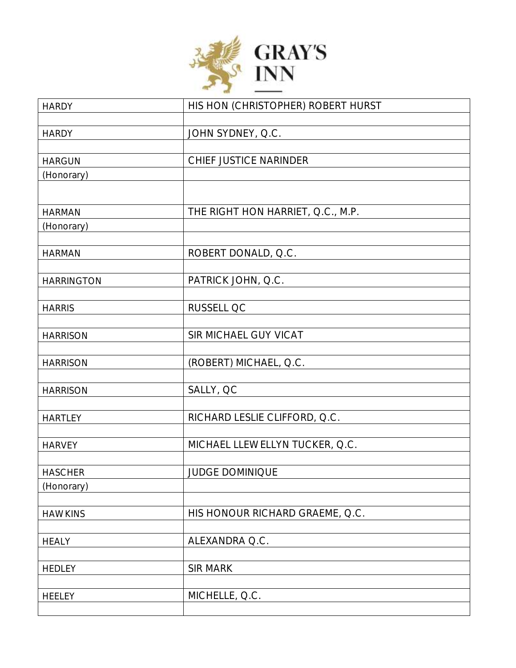

| <b>HARDY</b>      | HIS HON (CHRISTOPHER) ROBERT HURST |
|-------------------|------------------------------------|
|                   |                                    |
| <b>HARDY</b>      | JOHN SYDNEY, Q.C.                  |
| <b>HARGUN</b>     | CHIEF JUSTICE NARINDER             |
| (Honorary)        |                                    |
|                   |                                    |
| <b>HARMAN</b>     | THE RIGHT HON HARRIET, Q.C., M.P.  |
| (Honorary)        |                                    |
|                   |                                    |
| <b>HARMAN</b>     | ROBERT DONALD, Q.C.                |
| <b>HARRINGTON</b> | PATRICK JOHN, Q.C.                 |
|                   |                                    |
| <b>HARRIS</b>     | RUSSELL QC                         |
|                   |                                    |
| <b>HARRISON</b>   | SIR MICHAEL GUY VICAT              |
| <b>HARRISON</b>   | (ROBERT) MICHAEL, Q.C.             |
|                   |                                    |
| <b>HARRISON</b>   | SALLY, QC                          |
|                   |                                    |
| <b>HARTLEY</b>    | RICHARD LESLIE CLIFFORD, Q.C.      |
| <b>HARVEY</b>     | MICHAEL LLEWELLYN TUCKER, Q.C.     |
|                   |                                    |
| <b>HASCHER</b>    | <b>JUDGE DOMINIQUE</b>             |
| (Honorary)        |                                    |
| <b>HAWKINS</b>    | HIS HONOUR RICHARD GRAEME, Q.C.    |
|                   |                                    |
| <b>HEALY</b>      | ALEXANDRA Q.C.                     |
|                   |                                    |
| <b>HEDLEY</b>     | <b>SIR MARK</b>                    |
| <b>HEELEY</b>     | MICHELLE, Q.C.                     |
|                   |                                    |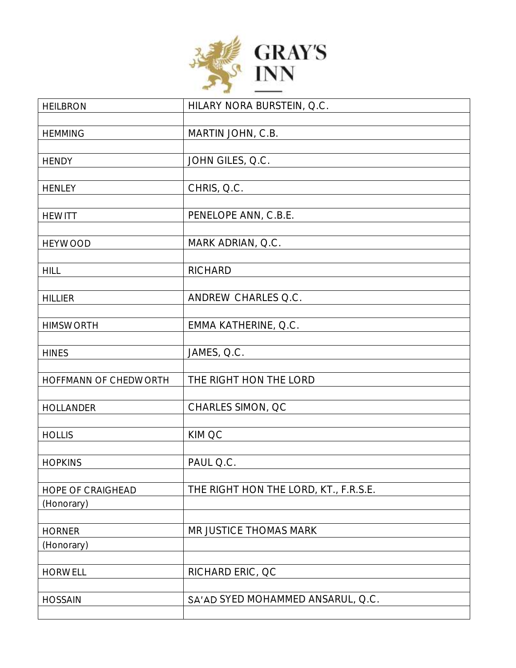

| <b>HEILBRON</b>       | HILARY NORA BURSTEIN, Q.C.            |
|-----------------------|---------------------------------------|
|                       |                                       |
| <b>HEMMING</b>        | MARTIN JOHN, C.B.                     |
|                       |                                       |
| <b>HENDY</b>          | JOHN GILES, Q.C.                      |
|                       |                                       |
| <b>HENLEY</b>         | CHRIS, Q.C.                           |
| <b>HEWITT</b>         | PENELOPE ANN, C.B.E.                  |
|                       |                                       |
| <b>HEYWOOD</b>        | MARK ADRIAN, Q.C.                     |
|                       |                                       |
| <b>HILL</b>           | <b>RICHARD</b>                        |
|                       |                                       |
| <b>HILLIER</b>        | ANDREW CHARLES Q.C.                   |
|                       |                                       |
| <b>HIMSWORTH</b>      | EMMA KATHERINE, Q.C.                  |
|                       |                                       |
| <b>HINES</b>          | JAMES, Q.C.                           |
|                       |                                       |
| HOFFMANN OF CHEDWORTH | THE RIGHT HON THE LORD                |
| <b>HOLLANDER</b>      | CHARLES SIMON, QC                     |
|                       |                                       |
| <b>HOLLIS</b>         | KIM QC                                |
|                       |                                       |
| <b>HOPKINS</b>        | PAUL Q.C.                             |
|                       |                                       |
| HOPE OF CRAIGHEAD     | THE RIGHT HON THE LORD, KT., F.R.S.E. |
| (Honorary)            |                                       |
|                       |                                       |
| <b>HORNER</b>         | MR JUSTICE THOMAS MARK                |
| (Honorary)            |                                       |
|                       |                                       |
| <b>HORWELL</b>        | RICHARD ERIC, QC                      |
|                       | SA'AD SYED MOHAMMED ANSARUL, Q.C.     |
| <b>HOSSAIN</b>        |                                       |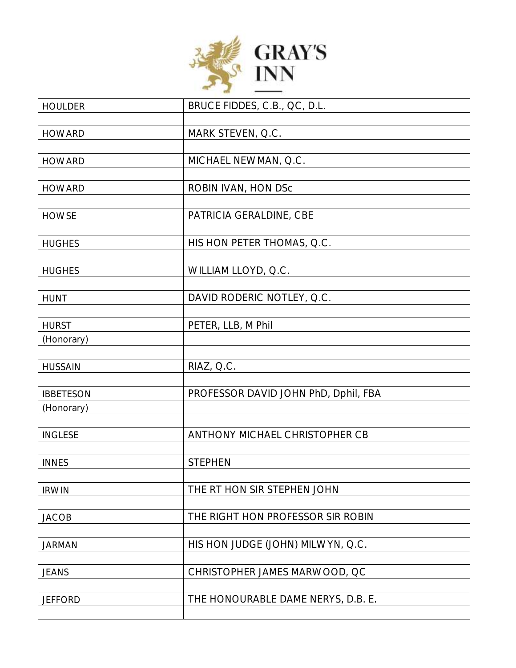

| <b>HOULDER</b>   | BRUCE FIDDES, C.B., QC, D.L.         |
|------------------|--------------------------------------|
|                  |                                      |
| <b>HOWARD</b>    | MARK STEVEN, Q.C.                    |
| <b>HOWARD</b>    | MICHAEL NEWMAN, Q.C.                 |
|                  |                                      |
| <b>HOWARD</b>    | ROBIN IVAN, HON DSc                  |
| <b>HOWSE</b>     | PATRICIA GERALDINE, CBE              |
|                  |                                      |
| <b>HUGHES</b>    | HIS HON PETER THOMAS, Q.C.           |
|                  |                                      |
| <b>HUGHES</b>    | WILLIAM LLOYD, Q.C.                  |
| <b>HUNT</b>      | DAVID RODERIC NOTLEY, Q.C.           |
|                  |                                      |
| <b>HURST</b>     | PETER, LLB, M Phil                   |
| (Honorary)       |                                      |
| <b>HUSSAIN</b>   | RIAZ, Q.C.                           |
|                  |                                      |
| <b>IBBETESON</b> | PROFESSOR DAVID JOHN PhD, Dphil, FBA |
| (Honorary)       |                                      |
| <b>INGLESE</b>   | ANTHONY MICHAEL CHRISTOPHER CB       |
|                  |                                      |
| <b>INNES</b>     | <b>STEPHEN</b>                       |
|                  |                                      |
| <b>IRWIN</b>     | THE RT HON SIR STEPHEN JOHN          |
| <b>JACOB</b>     | THE RIGHT HON PROFESSOR SIR ROBIN    |
|                  |                                      |
| <b>JARMAN</b>    | HIS HON JUDGE (JOHN) MILWYN, Q.C.    |
|                  |                                      |
| <b>JEANS</b>     | CHRISTOPHER JAMES MARWOOD, QC        |
| <b>JEFFORD</b>   | THE HONOURABLE DAME NERYS, D.B. E.   |
|                  |                                      |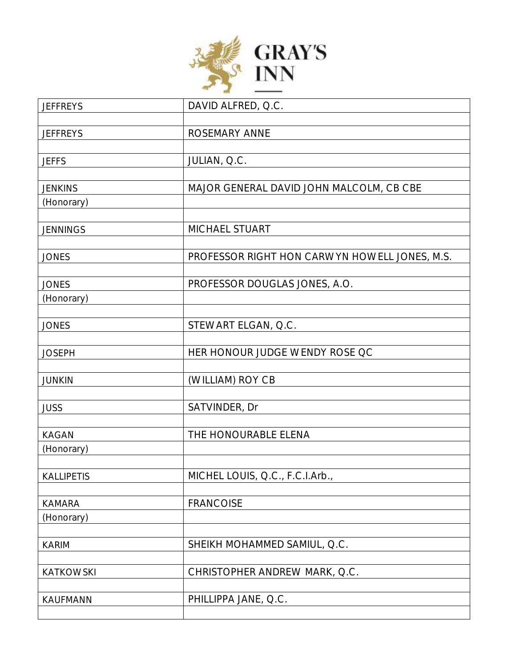

| <b>JEFFREYS</b>   | DAVID ALFRED, Q.C.                            |
|-------------------|-----------------------------------------------|
|                   |                                               |
| <b>JEFFREYS</b>   | ROSEMARY ANNE                                 |
|                   |                                               |
| <b>JEFFS</b>      | JULIAN, Q.C.                                  |
|                   |                                               |
| <b>JENKINS</b>    | MAJOR GENERAL DAVID JOHN MALCOLM, CB CBE      |
| (Honorary)        |                                               |
|                   |                                               |
| <b>JENNINGS</b>   | MICHAEL STUART                                |
|                   |                                               |
| <b>JONES</b>      | PROFESSOR RIGHT HON CARWYN HOWELL JONES, M.S. |
|                   |                                               |
| <b>JONES</b>      | PROFESSOR DOUGLAS JONES, A.O.                 |
| (Honorary)        |                                               |
|                   |                                               |
| <b>JONES</b>      | STEWART ELGAN, Q.C.                           |
|                   |                                               |
| <b>JOSEPH</b>     | HER HONOUR JUDGE WENDY ROSE QC                |
|                   |                                               |
| <b>JUNKIN</b>     | (WILLIAM) ROY CB                              |
|                   |                                               |
| <b>JUSS</b>       | SATVINDER, Dr                                 |
|                   | THE HONOURABLE ELENA                          |
| <b>KAGAN</b>      |                                               |
| (Honorary)        |                                               |
| <b>KALLIPETIS</b> | MICHEL LOUIS, Q.C., F.C.I.Arb.,               |
|                   |                                               |
| <b>KAMARA</b>     | <b>FRANCOISE</b>                              |
| (Honorary)        |                                               |
|                   |                                               |
| <b>KARIM</b>      | SHEIKH MOHAMMED SAMIUL, Q.C.                  |
|                   |                                               |
| <b>KATKOWSKI</b>  | CHRISTOPHER ANDREW MARK, Q.C.                 |
|                   |                                               |
| KAUFMANN          | PHILLIPPA JANE, Q.C.                          |
|                   |                                               |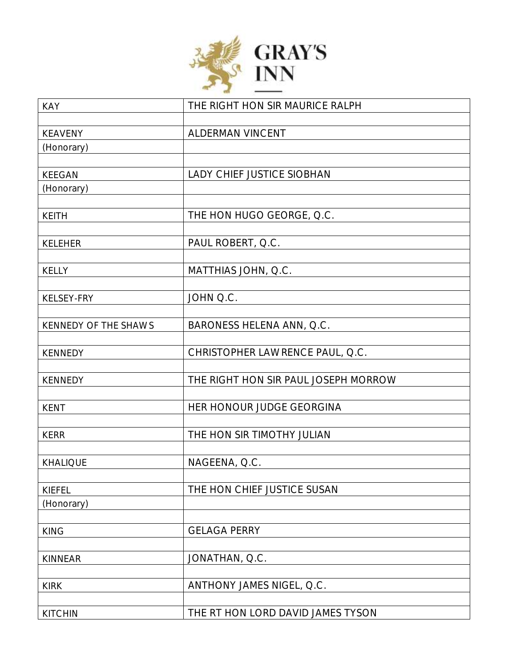

| <b>KAY</b>           | THE RIGHT HON SIR MAURICE RALPH      |
|----------------------|--------------------------------------|
|                      |                                      |
| <b>KEAVENY</b>       | ALDERMAN VINCENT                     |
| (Honorary)           |                                      |
|                      |                                      |
| <b>KEEGAN</b>        | LADY CHIEF JUSTICE SIOBHAN           |
| (Honorary)           |                                      |
| <b>KEITH</b>         | THE HON HUGO GEORGE, Q.C.            |
|                      |                                      |
| KELEHER              | PAUL ROBERT, Q.C.                    |
|                      |                                      |
| KELLY                | MATTHIAS JOHN, Q.C.                  |
|                      |                                      |
| KELSEY-FRY           | JOHN Q.C.                            |
|                      |                                      |
| KENNEDY OF THE SHAWS | BARONESS HELENA ANN, Q.C.            |
|                      |                                      |
| <b>KENNEDY</b>       | CHRISTOPHER LAWRENCE PAUL, Q.C.      |
|                      |                                      |
| <b>KENNEDY</b>       | THE RIGHT HON SIR PAUL JOSEPH MORROW |
| <b>KENT</b>          | HER HONOUR JUDGE GEORGINA            |
|                      |                                      |
| <b>KERR</b>          | THE HON SIR TIMOTHY JULIAN           |
|                      |                                      |
| <b>KHALIQUE</b>      | NAGEENA, Q.C.                        |
|                      |                                      |
| <b>KIEFEL</b>        | THE HON CHIEF JUSTICE SUSAN          |
| (Honorary)           |                                      |
|                      |                                      |
| <b>KING</b>          | <b>GELAGA PERRY</b>                  |
|                      |                                      |
| <b>KINNEAR</b>       | JONATHAN, Q.C.                       |
| <b>KIRK</b>          | ANTHONY JAMES NIGEL, Q.C.            |
|                      |                                      |
| <b>KITCHIN</b>       | THE RT HON LORD DAVID JAMES TYSON    |
|                      |                                      |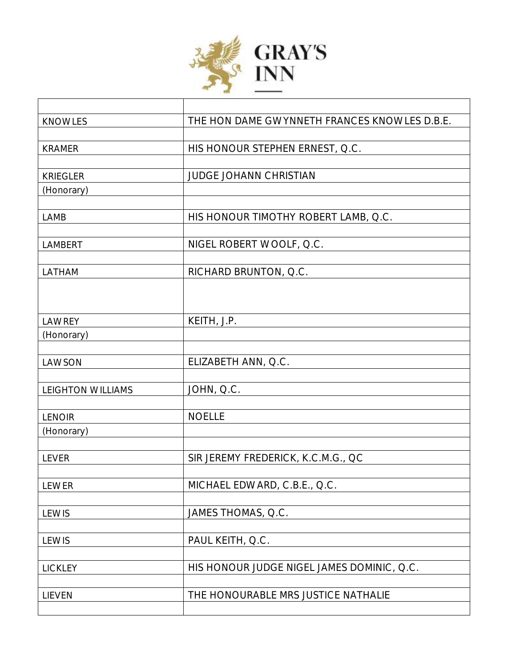

| <b>KNOWLES</b>           | THE HON DAME GWYNNETH FRANCES KNOWLES D.B.E. |
|--------------------------|----------------------------------------------|
|                          |                                              |
| <b>KRAMER</b>            | HIS HONOUR STEPHEN ERNEST, Q.C.              |
|                          |                                              |
| <b>KRIEGLER</b>          | <b>JUDGE JOHANN CHRISTIAN</b>                |
| (Honorary)               |                                              |
|                          |                                              |
| LAMB                     | HIS HONOUR TIMOTHY ROBERT LAMB, Q.C.         |
|                          |                                              |
| LAMBERT                  | NIGEL ROBERT WOOLF, Q.C.                     |
|                          |                                              |
| LATHAM                   | RICHARD BRUNTON, Q.C.                        |
|                          |                                              |
|                          |                                              |
|                          |                                              |
| LAWREY                   | KEITH, J.P.                                  |
| (Honorary)               |                                              |
|                          |                                              |
| LAWSON                   | ELIZABETH ANN, Q.C.                          |
|                          |                                              |
| <b>LEIGHTON WILLIAMS</b> | JOHN, Q.C.                                   |
|                          |                                              |
| <b>LENOIR</b>            | <b>NOELLE</b>                                |
| (Honorary)               |                                              |
|                          |                                              |
| <b>LEVER</b>             | SIR JEREMY FREDERICK, K.C.M.G., QC           |
|                          |                                              |
| LEWER                    | MICHAEL EDWARD, C.B.E., Q.C.                 |
|                          |                                              |
| LEWIS                    | JAMES THOMAS, Q.C.                           |
|                          |                                              |
| <b>LEWIS</b>             | PAUL KEITH, Q.C.                             |
|                          |                                              |
| LICKLEY                  | HIS HONOUR JUDGE NIGEL JAMES DOMINIC, Q.C.   |
|                          |                                              |
| LIEVEN                   | THE HONOURABLE MRS JUSTICE NATHALIE          |
|                          |                                              |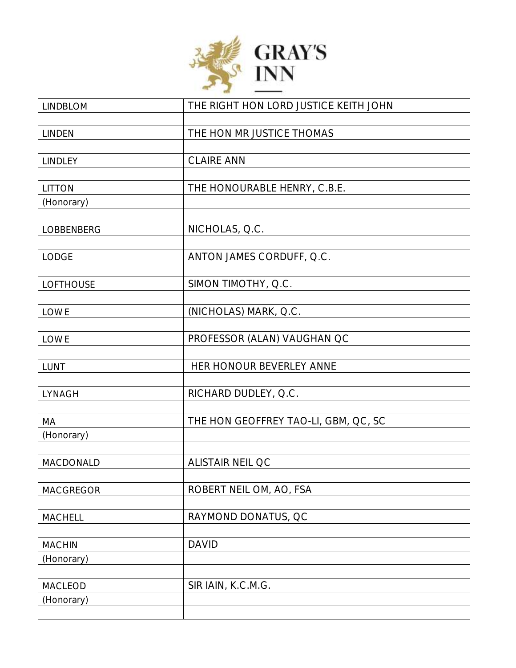

| <b>LINDBLOM</b>  | THE RIGHT HON LORD JUSTICE KEITH JOHN |
|------------------|---------------------------------------|
|                  |                                       |
| <b>LINDEN</b>    | THE HON MR JUSTICE THOMAS             |
|                  |                                       |
| <b>LINDLEY</b>   | <b>CLAIRE ANN</b>                     |
| <b>LITTON</b>    | THE HONOURABLE HENRY, C.B.E.          |
| (Honorary)       |                                       |
|                  |                                       |
| LOBBENBERG       | NICHOLAS, Q.C.                        |
|                  |                                       |
| <b>LODGE</b>     | ANTON JAMES CORDUFF, Q.C.             |
|                  |                                       |
| <b>LOFTHOUSE</b> | SIMON TIMOTHY, Q.C.                   |
| LOWE             | (NICHOLAS) MARK, Q.C.                 |
|                  |                                       |
| LOWE             | PROFESSOR (ALAN) VAUGHAN QC           |
|                  |                                       |
| LUNT             | HER HONOUR BEVERLEY ANNE              |
|                  |                                       |
| LYNAGH           | RICHARD DUDLEY, Q.C.                  |
|                  |                                       |
| MA               | THE HON GEOFFREY TAO-LI, GBM, QC, SC  |
| (Honorary)       |                                       |
| MACDONALD        | <b>ALISTAIR NEIL QC</b>               |
|                  |                                       |
| <b>MACGREGOR</b> | ROBERT NEIL OM, AO, FSA               |
|                  |                                       |
| MACHELL          | RAYMOND DONATUS, QC                   |
|                  |                                       |
| <b>MACHIN</b>    | <b>DAVID</b>                          |
| (Honorary)       |                                       |
| <b>MACLEOD</b>   | SIR IAIN, K.C.M.G.                    |
| (Honorary)       |                                       |
|                  |                                       |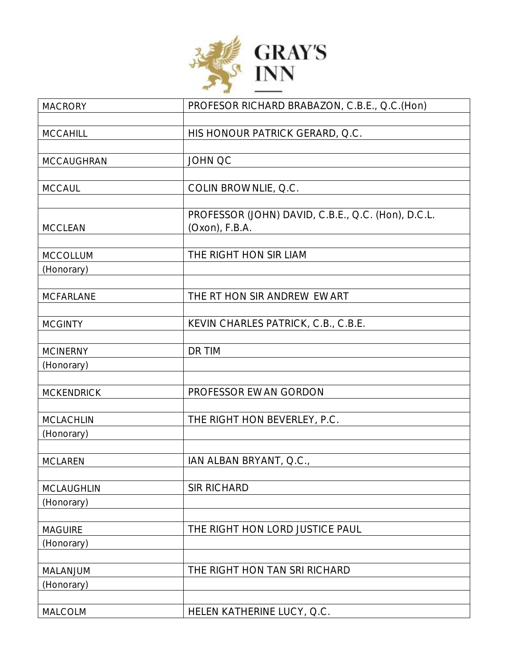

| <b>MACRORY</b>    | PROFESOR RICHARD BRABAZON, C.B.E., Q.C. (Hon)                           |
|-------------------|-------------------------------------------------------------------------|
| <b>MCCAHILL</b>   | HIS HONOUR PATRICK GERARD, Q.C.                                         |
|                   |                                                                         |
| MCCAUGHRAN        | <b>JOHN QC</b>                                                          |
|                   |                                                                         |
| <b>MCCAUL</b>     | COLIN BROWNLIE, Q.C.                                                    |
| <b>MCCLEAN</b>    | PROFESSOR (JOHN) DAVID, C.B.E., Q.C. (Hon), D.C.L.<br>$(Oxon)$ , F.B.A. |
| <b>MCCOLLUM</b>   | THE RIGHT HON SIR LIAM                                                  |
| (Honorary)        |                                                                         |
|                   |                                                                         |
| <b>MCFARLANE</b>  | THE RT HON SIR ANDREW EWART                                             |
| <b>MCGINTY</b>    | KEVIN CHARLES PATRICK, C.B., C.B.E.                                     |
| <b>MCINERNY</b>   | DR TIM                                                                  |
| (Honorary)        |                                                                         |
|                   |                                                                         |
| <b>MCKENDRICK</b> | PROFESSOR EWAN GORDON                                                   |
| <b>MCLACHLIN</b>  | THE RIGHT HON BEVERLEY, P.C.                                            |
| (Honorary)        |                                                                         |
|                   |                                                                         |
| <b>MCLAREN</b>    | IAN ALBAN BRYANT, Q.C.,                                                 |
| <b>MCLAUGHLIN</b> | <b>SIR RICHARD</b>                                                      |
| (Honorary)        |                                                                         |
| <b>MAGUIRE</b>    | THE RIGHT HON LORD JUSTICE PAUL                                         |
| (Honorary)        |                                                                         |
|                   |                                                                         |
| MALANJUM          | THE RIGHT HON TAN SRI RICHARD                                           |
| (Honorary)        |                                                                         |
| MALCOLM           | HELEN KATHERINE LUCY, Q.C.                                              |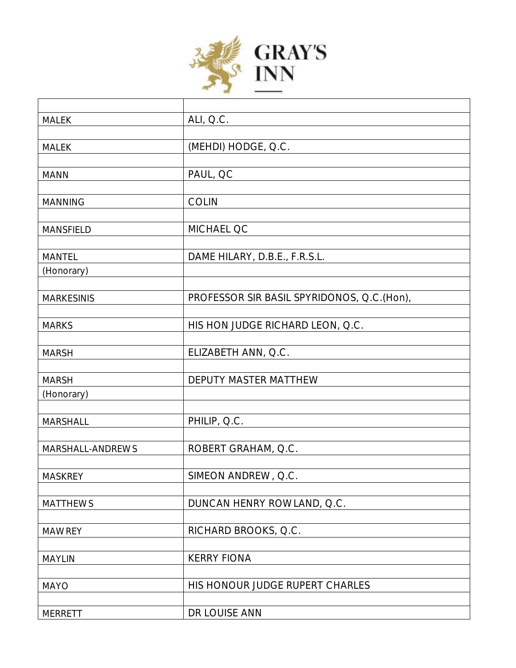

| <b>MALEK</b>      | ALI, Q.C.                                  |
|-------------------|--------------------------------------------|
|                   |                                            |
| <b>MALEK</b>      | (MEHDI) HODGE, Q.C.                        |
|                   |                                            |
| <b>MANN</b>       | PAUL, QC                                   |
|                   |                                            |
| <b>MANNING</b>    | <b>COLIN</b>                               |
|                   |                                            |
| <b>MANSFIELD</b>  | MICHAEL QC                                 |
|                   |                                            |
| <b>MANTEL</b>     | DAME HILARY, D.B.E., F.R.S.L.              |
| (Honorary)        |                                            |
|                   |                                            |
| <b>MARKESINIS</b> | PROFESSOR SIR BASIL SPYRIDONOS, Q.C.(Hon), |
|                   |                                            |
| <b>MARKS</b>      | HIS HON JUDGE RICHARD LEON, Q.C.           |
|                   |                                            |
| <b>MARSH</b>      | ELIZABETH ANN, Q.C.                        |
|                   |                                            |
| <b>MARSH</b>      | DEPUTY MASTER MATTHEW                      |
| (Honorary)        |                                            |
|                   |                                            |
| MARSHALL          | PHILIP, Q.C.                               |
|                   |                                            |
| MARSHALL-ANDREWS  | ROBERT GRAHAM, Q.C.                        |
|                   |                                            |
| <b>MASKREY</b>    | SIMEON ANDREW, Q.C.                        |
|                   |                                            |
| <b>MATTHEWS</b>   | DUNCAN HENRY ROWLAND, Q.C.                 |
|                   |                                            |
| <b>MAWREY</b>     | RICHARD BROOKS, Q.C.                       |
|                   |                                            |
| <b>MAYLIN</b>     | <b>KERRY FIONA</b>                         |
|                   |                                            |
| <b>MAYO</b>       | HIS HONOUR JUDGE RUPERT CHARLES            |
|                   |                                            |
| <b>MERRETT</b>    | DR LOUISE ANN                              |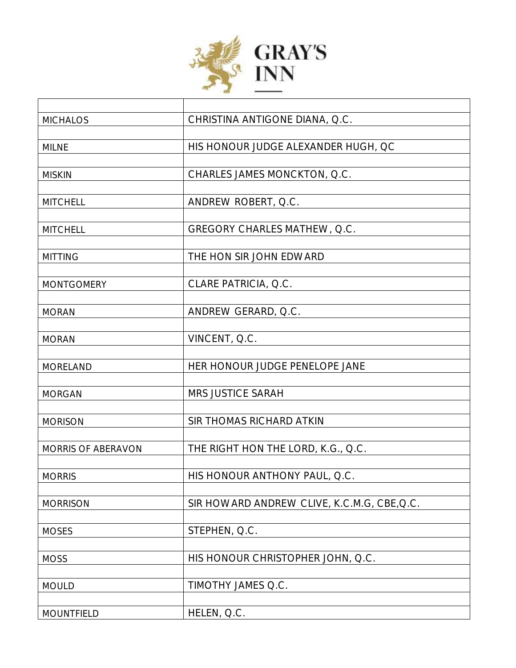

Г

| <b>MICHALOS</b>    | CHRISTINA ANTIGONE DIANA, Q.C.              |
|--------------------|---------------------------------------------|
|                    |                                             |
| <b>MILNE</b>       | HIS HONOUR JUDGE ALEXANDER HUGH, QC         |
|                    |                                             |
| <b>MISKIN</b>      | CHARLES JAMES MONCKTON, Q.C.                |
|                    |                                             |
| <b>MITCHELL</b>    | ANDREW ROBERT, Q.C.                         |
|                    |                                             |
| <b>MITCHELL</b>    | GREGORY CHARLES MATHEW, Q.C.                |
|                    |                                             |
| <b>MITTING</b>     | THE HON SIR JOHN EDWARD                     |
|                    |                                             |
| <b>MONTGOMERY</b>  | CLARE PATRICIA, Q.C.                        |
|                    |                                             |
| <b>MORAN</b>       | ANDREW GERARD, Q.C.                         |
|                    |                                             |
| <b>MORAN</b>       | VINCENT, Q.C.                               |
|                    |                                             |
| <b>MORELAND</b>    | HER HONOUR JUDGE PENELOPE JANE              |
|                    |                                             |
| <b>MORGAN</b>      | <b>MRS JUSTICE SARAH</b>                    |
|                    |                                             |
| <b>MORISON</b>     | SIR THOMAS RICHARD ATKIN                    |
|                    |                                             |
| MORRIS OF ABERAVON | THE RIGHT HON THE LORD, K.G., Q.C.          |
|                    |                                             |
| <b>MORRIS</b>      | HIS HONOUR ANTHONY PAUL, Q.C.               |
|                    |                                             |
| <b>MORRISON</b>    | SIR HOWARD ANDREW CLIVE, K.C.M.G, CBE, Q.C. |
|                    |                                             |
| <b>MOSES</b>       | STEPHEN, Q.C.                               |
|                    |                                             |
| <b>MOSS</b>        | HIS HONOUR CHRISTOPHER JOHN, Q.C.           |
|                    |                                             |
| <b>MOULD</b>       | TIMOTHY JAMES Q.C.                          |
|                    |                                             |
| <b>MOUNTFIELD</b>  | HELEN, Q.C.                                 |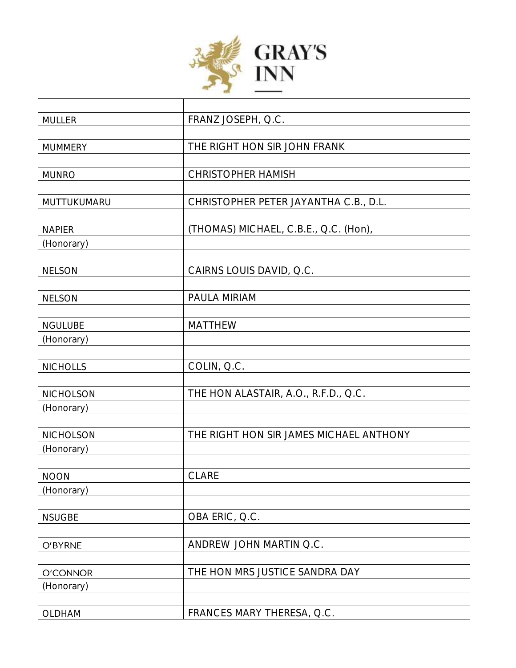

| <b>MULLER</b>   | FRANZ JOSEPH, Q.C.                      |
|-----------------|-----------------------------------------|
|                 |                                         |
| <b>MUMMERY</b>  | THE RIGHT HON SIR JOHN FRANK            |
|                 |                                         |
| <b>MUNRO</b>    | <b>CHRISTOPHER HAMISH</b>               |
|                 |                                         |
| MUTTUKUMARU     | CHRISTOPHER PETER JAYANTHA C.B., D.L.   |
|                 |                                         |
| <b>NAPIER</b>   | (THOMAS) MICHAEL, C.B.E., Q.C. (Hon),   |
| (Honorary)      |                                         |
|                 |                                         |
| <b>NELSON</b>   | CAIRNS LOUIS DAVID, Q.C.                |
|                 |                                         |
| <b>NELSON</b>   | PAULA MIRIAM                            |
| <b>NGULUBE</b>  | <b>MATTHEW</b>                          |
|                 |                                         |
| (Honorary)      |                                         |
| <b>NICHOLLS</b> | COLIN, Q.C.                             |
|                 |                                         |
| NICHOLSON       | THE HON ALASTAIR, A.O., R.F.D., Q.C.    |
| (Honorary)      |                                         |
|                 |                                         |
| NICHOLSON       | THE RIGHT HON SIR JAMES MICHAEL ANTHONY |
| (Honorary)      |                                         |
|                 |                                         |
| <b>NOON</b>     | <b>CLARE</b>                            |
| (Honorary)      |                                         |
|                 |                                         |
| <b>NSUGBE</b>   | OBA ERIC, Q.C.                          |
|                 |                                         |
| O'BYRNE         | ANDREW JOHN MARTIN Q.C.                 |
|                 |                                         |
| O'CONNOR        | THE HON MRS JUSTICE SANDRA DAY          |
| (Honorary)      |                                         |
|                 |                                         |
| OLDHAM          | FRANCES MARY THERESA, Q.C.              |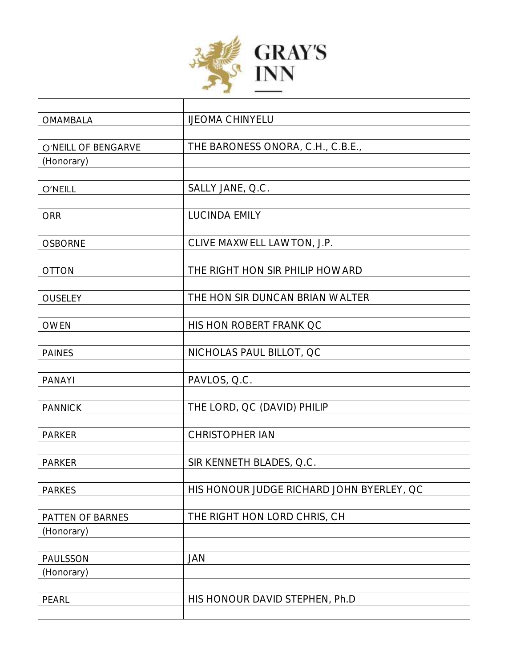

| <b>OMAMBALA</b>     | <b>IJEOMA CHINYELU</b>                    |
|---------------------|-------------------------------------------|
|                     |                                           |
| O'NEILL OF BENGARVE | THE BARONESS ONORA, C.H., C.B.E.,         |
| (Honorary)          |                                           |
|                     |                                           |
| O'NEILL             | SALLY JANE, Q.C.                          |
|                     |                                           |
| <b>ORR</b>          | <b>LUCINDA EMILY</b>                      |
|                     |                                           |
| <b>OSBORNE</b>      | CLIVE MAXWELL LAWTON, J.P.                |
|                     |                                           |
| <b>OTTON</b>        | THE RIGHT HON SIR PHILIP HOWARD           |
|                     |                                           |
| OUSELEY             | THE HON SIR DUNCAN BRIAN WALTER           |
|                     |                                           |
| <b>OWEN</b>         | HIS HON ROBERT FRANK QC                   |
|                     |                                           |
| <b>PAINES</b>       | NICHOLAS PAUL BILLOT, QC                  |
| <b>PANAYI</b>       | PAVLOS, Q.C.                              |
|                     |                                           |
| <b>PANNICK</b>      | THE LORD, QC (DAVID) PHILIP               |
|                     |                                           |
| <b>PARKER</b>       | <b>CHRISTOPHER IAN</b>                    |
|                     |                                           |
| <b>PARKER</b>       | SIR KENNETH BLADES, Q.C.                  |
|                     |                                           |
| <b>PARKES</b>       | HIS HONOUR JUDGE RICHARD JOHN BYERLEY, QC |
|                     |                                           |
| PATTEN OF BARNES    | THE RIGHT HON LORD CHRIS, CH              |
| (Honorary)          |                                           |
|                     |                                           |
| PAULSSON            | JAN                                       |
| (Honorary)          |                                           |
|                     |                                           |
| PEARL               | HIS HONOUR DAVID STEPHEN, Ph.D            |
|                     |                                           |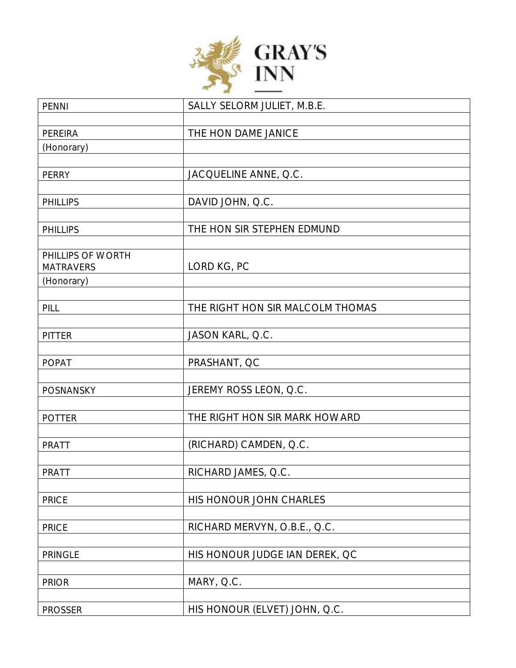

| <b>PENNI</b>      | SALLY SELORM JULIET, M.B.E.      |
|-------------------|----------------------------------|
|                   |                                  |
| PEREIRA           | THE HON DAME JANICE              |
| (Honorary)        |                                  |
|                   |                                  |
| PERRY             | JACQUELINE ANNE, Q.C.            |
|                   |                                  |
| <b>PHILLIPS</b>   | DAVID JOHN, Q.C.                 |
|                   |                                  |
| <b>PHILLIPS</b>   | THE HON SIR STEPHEN EDMUND       |
|                   |                                  |
| PHILLIPS OF WORTH |                                  |
| <b>MATRAVERS</b>  | LORD KG, PC                      |
| (Honorary)        |                                  |
|                   |                                  |
| PILL              | THE RIGHT HON SIR MALCOLM THOMAS |
|                   |                                  |
| <b>PITTER</b>     | JASON KARL, Q.C.                 |
|                   | PRASHANT, QC                     |
| <b>POPAT</b>      |                                  |
| POSNANSKY         | JEREMY ROSS LEON, Q.C.           |
|                   |                                  |
| <b>POTTER</b>     | THE RIGHT HON SIR MARK HOWARD    |
|                   |                                  |
| <b>PRATT</b>      | (RICHARD) CAMDEN, Q.C.           |
|                   |                                  |
| PRATT             | RICHARD JAMES, Q.C.              |
|                   |                                  |
| <b>PRICE</b>      | HIS HONOUR JOHN CHARLES          |
|                   |                                  |
| <b>PRICE</b>      | RICHARD MERVYN, O.B.E., Q.C.     |
|                   |                                  |
| <b>PRINGLE</b>    | HIS HONOUR JUDGE IAN DEREK, QC   |
|                   |                                  |
| <b>PRIOR</b>      | MARY, Q.C.                       |
|                   |                                  |
| <b>PROSSER</b>    | HIS HONOUR (ELVET) JOHN, Q.C.    |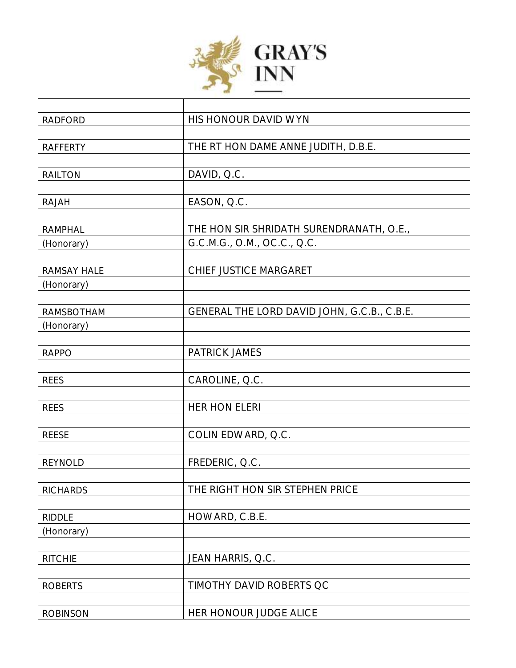

| <b>RADFORD</b>  | HIS HONOUR DAVID WYN                        |
|-----------------|---------------------------------------------|
|                 |                                             |
| <b>RAFFERTY</b> | THE RT HON DAME ANNE JUDITH, D.B.E.         |
|                 |                                             |
| <b>RAILTON</b>  | DAVID, Q.C.                                 |
|                 |                                             |
| RAJAH           | EASON, Q.C.                                 |
|                 |                                             |
| <b>RAMPHAL</b>  | THE HON SIR SHRIDATH SURENDRANATH, O.E.,    |
| (Honorary)      | G.C.M.G., O.M., OC.C., Q.C.                 |
| RAMSAY HALE     | CHIEF JUSTICE MARGARET                      |
| (Honorary)      |                                             |
|                 |                                             |
| RAMSBOTHAM      | GENERAL THE LORD DAVID JOHN, G.C.B., C.B.E. |
| (Honorary)      |                                             |
|                 |                                             |
| <b>RAPPO</b>    | <b>PATRICK JAMES</b>                        |
|                 |                                             |
| <b>REES</b>     | CAROLINE, Q.C.                              |
|                 |                                             |
| <b>REES</b>     | <b>HER HON ELERI</b>                        |
|                 |                                             |
| <b>REESE</b>    | COLIN EDWARD, Q.C.                          |
| <b>REYNOLD</b>  | FREDERIC, Q.C.                              |
|                 |                                             |
| <b>RICHARDS</b> | THE RIGHT HON SIR STEPHEN PRICE             |
|                 |                                             |
| <b>RIDDLE</b>   | HOWARD, C.B.E.                              |
| (Honorary)      |                                             |
|                 |                                             |
| <b>RITCHIE</b>  | JEAN HARRIS, Q.C.                           |
|                 |                                             |
| <b>ROBERTS</b>  | TIMOTHY DAVID ROBERTS QC                    |
|                 |                                             |
| <b>ROBINSON</b> | HER HONOUR JUDGE ALICE                      |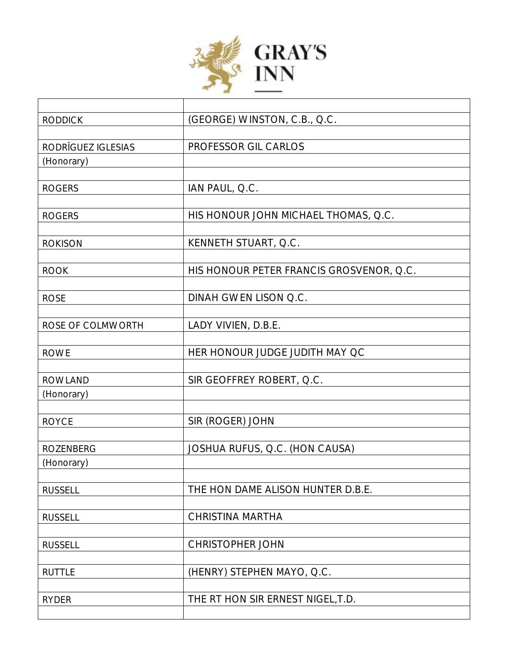

| <b>RODDICK</b>     | (GEORGE) WINSTON, C.B., Q.C.             |
|--------------------|------------------------------------------|
|                    |                                          |
| RODRÍGUEZ IGLESIAS | PROFESSOR GIL CARLOS                     |
| (Honorary)         |                                          |
|                    |                                          |
| <b>ROGERS</b>      | IAN PAUL, Q.C.                           |
|                    |                                          |
| <b>ROGERS</b>      | HIS HONOUR JOHN MICHAEL THOMAS, Q.C.     |
|                    |                                          |
| <b>ROKISON</b>     | KENNETH STUART, Q.C.                     |
|                    |                                          |
| <b>ROOK</b>        | HIS HONOUR PETER FRANCIS GROSVENOR, Q.C. |
|                    |                                          |
| <b>ROSE</b>        | DINAH GWEN LISON Q.C.                    |
|                    |                                          |
| ROSE OF COLMWORTH  | LADY VIVIEN, D.B.E.                      |
|                    |                                          |
| <b>ROWE</b>        | HER HONOUR JUDGE JUDITH MAY QC           |
|                    |                                          |
| <b>ROWLAND</b>     | SIR GEOFFREY ROBERT, Q.C.                |
| (Honorary)         |                                          |
|                    |                                          |
| <b>ROYCE</b>       | SIR (ROGER) JOHN                         |
| <b>ROZENBERG</b>   | JOSHUA RUFUS, Q.C. (HON CAUSA)           |
| (Honorary)         |                                          |
|                    |                                          |
| <b>RUSSELL</b>     | THE HON DAME ALISON HUNTER D.B.E.        |
|                    |                                          |
| <b>RUSSELL</b>     | CHRISTINA MARTHA                         |
|                    |                                          |
| <b>RUSSELL</b>     | <b>CHRISTOPHER JOHN</b>                  |
|                    |                                          |
| <b>RUTTLE</b>      | (HENRY) STEPHEN MAYO, Q.C.               |
|                    |                                          |
| <b>RYDER</b>       | THE RT HON SIR ERNEST NIGEL, T.D.        |
|                    |                                          |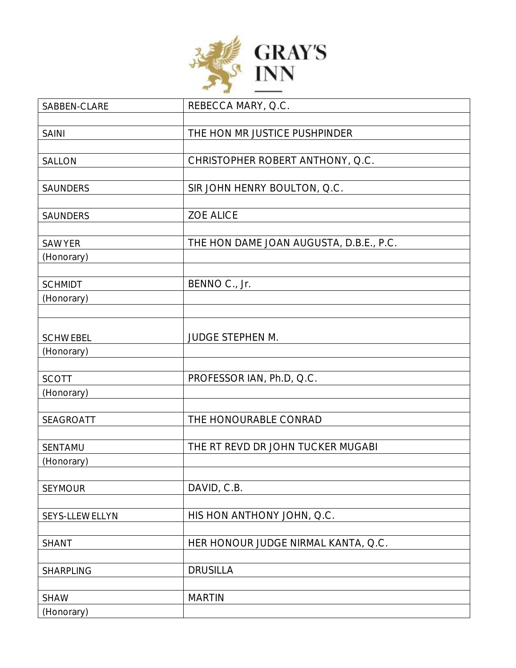

| SABBEN-CLARE    | REBECCA MARY, Q.C.                      |
|-----------------|-----------------------------------------|
|                 |                                         |
| <b>SAINI</b>    | THE HON MR JUSTICE PUSHPINDER           |
|                 |                                         |
| <b>SALLON</b>   | CHRISTOPHER ROBERT ANTHONY, Q.C.        |
|                 |                                         |
| SAUNDERS        | SIR JOHN HENRY BOULTON, Q.C.            |
|                 |                                         |
| SAUNDERS        | <b>ZOE ALICE</b>                        |
|                 |                                         |
| SAWYER          | THE HON DAME JOAN AUGUSTA, D.B.E., P.C. |
| (Honorary)      |                                         |
|                 |                                         |
| <b>SCHMIDT</b>  | BENNO C., Jr.                           |
| (Honorary)      |                                         |
|                 |                                         |
|                 |                                         |
| <b>SCHWEBEL</b> | <b>JUDGE STEPHEN M.</b>                 |
| (Honorary)      |                                         |
|                 |                                         |
| <b>SCOTT</b>    | PROFESSOR IAN, Ph.D, Q.C.               |
| (Honorary)      |                                         |
|                 |                                         |
| SEAGROATT       | THE HONOURABLE CONRAD                   |
|                 |                                         |
| SENTAMU         | THE RT REVD DR JOHN TUCKER MUGABI       |
| (Honorary)      |                                         |
|                 |                                         |
| <b>SEYMOUR</b>  | DAVID, C.B.                             |
|                 |                                         |
| SEYS-LLEWELLYN  | HIS HON ANTHONY JOHN, Q.C.              |
|                 |                                         |
| <b>SHANT</b>    | HER HONOUR JUDGE NIRMAL KANTA, Q.C.     |
|                 |                                         |
| SHARPLING       | <b>DRUSILLA</b>                         |
|                 |                                         |
| <b>SHAW</b>     | <b>MARTIN</b>                           |
| (Honorary)      |                                         |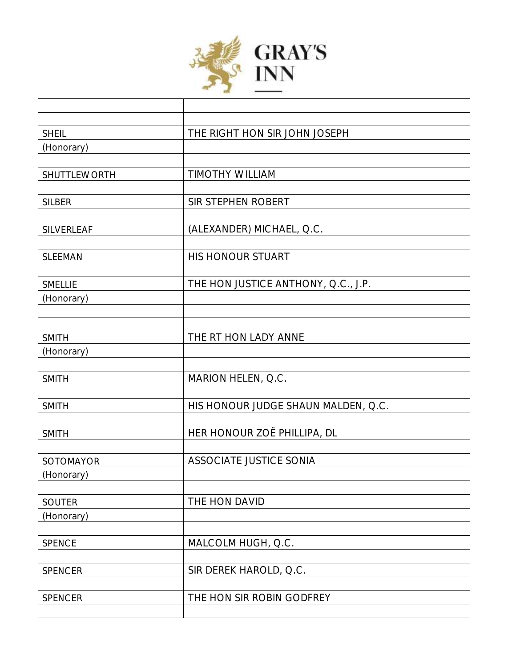

Г

| <b>SHEIL</b>   | THE RIGHT HON SIR JOHN JOSEPH       |
|----------------|-------------------------------------|
| (Honorary)     |                                     |
|                |                                     |
| SHUTTLEWORTH   | <b>TIMOTHY WILLIAM</b>              |
|                |                                     |
| <b>SILBER</b>  | SIR STEPHEN ROBERT                  |
| SILVERLEAF     | (ALEXANDER) MICHAEL, Q.C.           |
|                |                                     |
| <b>SLEEMAN</b> | HIS HONOUR STUART                   |
|                |                                     |
| <b>SMELLIE</b> | THE HON JUSTICE ANTHONY, Q.C., J.P. |
| (Honorary)     |                                     |
|                |                                     |
|                |                                     |
| <b>SMITH</b>   | THE RT HON LADY ANNE                |
| (Honorary)     |                                     |
| <b>SMITH</b>   | MARION HELEN, Q.C.                  |
|                |                                     |
| <b>SMITH</b>   | HIS HONOUR JUDGE SHAUN MALDEN, Q.C. |
|                |                                     |
| <b>SMITH</b>   | HER HONOUR ZOË PHILLIPA, DL         |
|                |                                     |
| SOTOMAYOR      | ASSOCIATE JUSTICE SONIA             |
| (Honorary)     |                                     |
|                |                                     |
| SOUTER         | THE HON DAVID                       |
| (Honorary)     |                                     |
|                | MALCOLM HUGH, Q.C.                  |
| SPENCE         |                                     |
| SPENCER        | SIR DEREK HAROLD, Q.C.              |
|                |                                     |
| SPENCER        | THE HON SIR ROBIN GODFREY           |
|                |                                     |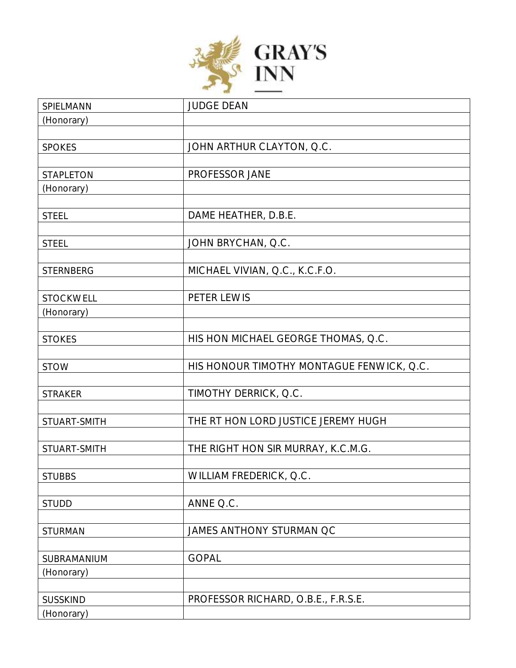

| SPIELMANN        | <b>JUDGE DEAN</b>                         |
|------------------|-------------------------------------------|
| (Honorary)       |                                           |
|                  |                                           |
| <b>SPOKES</b>    | JOHN ARTHUR CLAYTON, Q.C.                 |
|                  |                                           |
| STAPLETON        | PROFESSOR JANE                            |
| (Honorary)       |                                           |
|                  |                                           |
| <b>STEEL</b>     | DAME HEATHER, D.B.E.                      |
|                  |                                           |
| <b>STEEL</b>     | JOHN BRYCHAN, Q.C.                        |
|                  |                                           |
| <b>STERNBERG</b> | MICHAEL VIVIAN, Q.C., K.C.F.O.            |
|                  |                                           |
| STOCKWELL        | PETER LEWIS                               |
| (Honorary)       |                                           |
|                  |                                           |
| <b>STOKES</b>    | HIS HON MICHAEL GEORGE THOMAS, Q.C.       |
|                  |                                           |
| <b>STOW</b>      | HIS HONOUR TIMOTHY MONTAGUE FENWICK, Q.C. |
|                  |                                           |
| <b>STRAKER</b>   | TIMOTHY DERRICK, Q.C.                     |
|                  |                                           |
| STUART-SMITH     | THE RT HON LORD JUSTICE JEREMY HUGH       |
|                  |                                           |
| STUART-SMITH     | THE RIGHT HON SIR MURRAY, K.C.M.G.        |
|                  |                                           |
| <b>STUBBS</b>    | WILLIAM FREDERICK, Q.C.                   |
|                  |                                           |
| <b>STUDD</b>     | ANNE Q.C.                                 |
|                  |                                           |
| <b>STURMAN</b>   | JAMES ANTHONY STURMAN QC                  |
|                  |                                           |
| SUBRAMANIUM      | <b>GOPAL</b>                              |
| (Honorary)       |                                           |
|                  |                                           |
| <b>SUSSKIND</b>  | PROFESSOR RICHARD, O.B.E., F.R.S.E.       |
| (Honorary)       |                                           |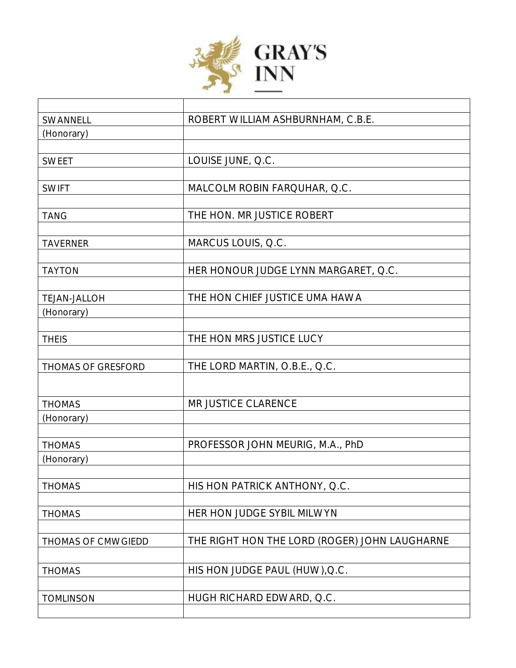

| SWANNELL            | ROBERT WILLIAM ASHBURNHAM, C.B.E.             |
|---------------------|-----------------------------------------------|
| (Honorary)          |                                               |
|                     |                                               |
| <b>SWEET</b>        | LOUISE JUNE, Q.C.                             |
|                     |                                               |
| <b>SWIFT</b>        | MALCOLM ROBIN FARQUHAR, Q.C.                  |
|                     |                                               |
| <b>TANG</b>         | THE HON. MR JUSTICE ROBERT                    |
|                     |                                               |
| <b>TAVERNER</b>     | MARCUS LOUIS, Q.C.                            |
|                     |                                               |
| <b>TAYTON</b>       | HER HONOUR JUDGE LYNN MARGARET, Q.C.          |
|                     |                                               |
| <b>TEJAN-JALLOH</b> | THE HON CHIEF JUSTICE UMA HAWA                |
| (Honorary)          |                                               |
|                     |                                               |
| <b>THEIS</b>        | THE HON MRS JUSTICE LUCY                      |
|                     |                                               |
| THOMAS OF GRESFORD  | THE LORD MARTIN, O.B.E., Q.C.                 |
|                     |                                               |
|                     |                                               |
| <b>THOMAS</b>       | MR JUSTICE CLARENCE                           |
| (Honorary)          |                                               |
|                     |                                               |
| <b>THOMAS</b>       | PROFESSOR JOHN MEURIG, M.A., PhD              |
| (Honorary)          |                                               |
|                     |                                               |
| <b>THOMAS</b>       | HIS HON PATRICK ANTHONY, Q.C.                 |
|                     |                                               |
| <b>THOMAS</b>       | HER HON JUDGE SYBIL MILWYN                    |
|                     |                                               |
| THOMAS OF CMWGIEDD  | THE RIGHT HON THE LORD (ROGER) JOHN LAUGHARNE |
|                     |                                               |
| <b>THOMAS</b>       | HIS HON JUDGE PAUL (HUW), Q.C.                |
|                     |                                               |
| <b>TOMLINSON</b>    | HUGH RICHARD EDWARD, Q.C.                     |
|                     |                                               |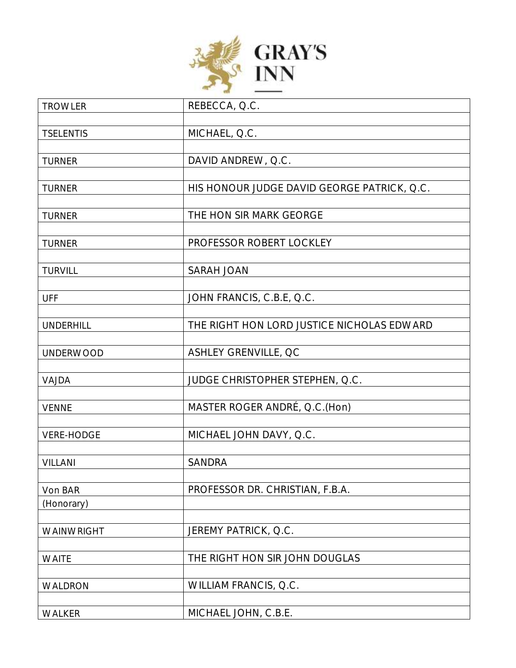

| <b>TROWLER</b>    | REBECCA, Q.C.                               |
|-------------------|---------------------------------------------|
|                   |                                             |
| <b>TSELENTIS</b>  | MICHAEL, Q.C.                               |
|                   |                                             |
| <b>TURNER</b>     | DAVID ANDREW, Q.C.                          |
|                   |                                             |
| <b>TURNER</b>     | HIS HONOUR JUDGE DAVID GEORGE PATRICK, Q.C. |
|                   |                                             |
| <b>TURNER</b>     | THE HON SIR MARK GEORGE                     |
|                   |                                             |
| <b>TURNER</b>     | PROFESSOR ROBERT LOCKLEY                    |
|                   |                                             |
| <b>TURVILL</b>    | SARAH JOAN                                  |
|                   |                                             |
| <b>UFF</b>        | JOHN FRANCIS, C.B.E, Q.C.                   |
| <b>UNDERHILL</b>  | THE RIGHT HON LORD JUSTICE NICHOLAS EDWARD  |
|                   |                                             |
| <b>UNDERWOOD</b>  | ASHLEY GRENVILLE, QC                        |
|                   |                                             |
| VAJDA             | JUDGE CHRISTOPHER STEPHEN, Q.C.             |
|                   |                                             |
| <b>VENNE</b>      | MASTER ROGER ANDRÉ, Q.C.(Hon)               |
|                   |                                             |
| <b>VERE-HODGE</b> | MICHAEL JOHN DAVY, Q.C.                     |
|                   |                                             |
| <b>VILLANI</b>    | SANDRA                                      |
|                   |                                             |
| Von BAR           | PROFESSOR DR. CHRISTIAN, F.B.A.             |
| (Honorary)        |                                             |
|                   |                                             |
| WAINWRIGHT        | JEREMY PATRICK, Q.C.                        |
|                   |                                             |
| <b>WAITE</b>      | THE RIGHT HON SIR JOHN DOUGLAS              |
|                   |                                             |
| WALDRON           | WILLIAM FRANCIS, Q.C.                       |
|                   |                                             |
| WALKER            | MICHAEL JOHN, C.B.E.                        |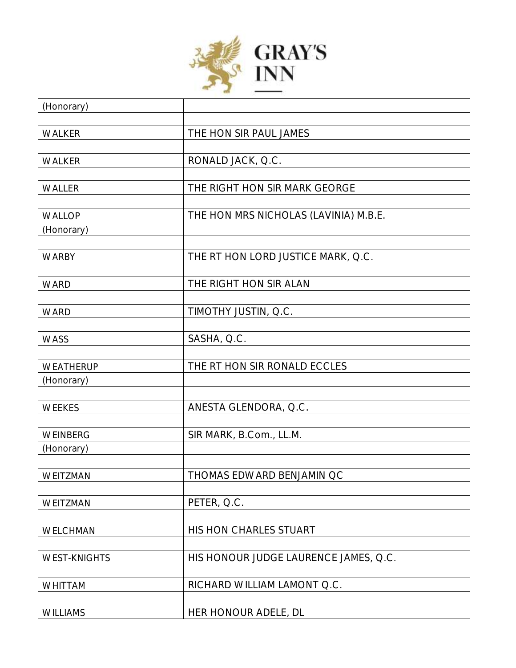

| (Honorary)          |                                       |
|---------------------|---------------------------------------|
|                     |                                       |
| WALKER              | THE HON SIR PAUL JAMES                |
|                     |                                       |
| WALKER              | RONALD JACK, Q.C.                     |
|                     |                                       |
| WALLER              | THE RIGHT HON SIR MARK GEORGE         |
|                     |                                       |
| <b>WALLOP</b>       | THE HON MRS NICHOLAS (LAVINIA) M.B.E. |
| (Honorary)          |                                       |
|                     |                                       |
| <b>WARBY</b>        | THE RT HON LORD JUSTICE MARK, Q.C.    |
|                     | THE RIGHT HON SIR ALAN                |
| <b>WARD</b>         |                                       |
| <b>WARD</b>         | TIMOTHY JUSTIN, Q.C.                  |
|                     |                                       |
| <b>WASS</b>         | SASHA, Q.C.                           |
|                     |                                       |
| WEATHERUP           | THE RT HON SIR RONALD ECCLES          |
| (Honorary)          |                                       |
|                     |                                       |
| WEEKES              | ANESTA GLENDORA, Q.C.                 |
|                     |                                       |
| WEINBERG            | SIR MARK, B.Com., LL.M.               |
| (Honorary)          |                                       |
|                     |                                       |
| WEITZMAN            | THOMAS EDWARD BENJAMIN QC             |
|                     |                                       |
| WEITZMAN            | PETER, Q.C.                           |
|                     |                                       |
| WELCHMAN            | HIS HON CHARLES STUART                |
|                     |                                       |
| <b>WEST-KNIGHTS</b> | HIS HONOUR JUDGE LAURENCE JAMES, Q.C. |
|                     |                                       |
| <b>WHITTAM</b>      | RICHARD WILLIAM LAMONT Q.C.           |
| <b>WILLIAMS</b>     | HER HONOUR ADELE, DL                  |
|                     |                                       |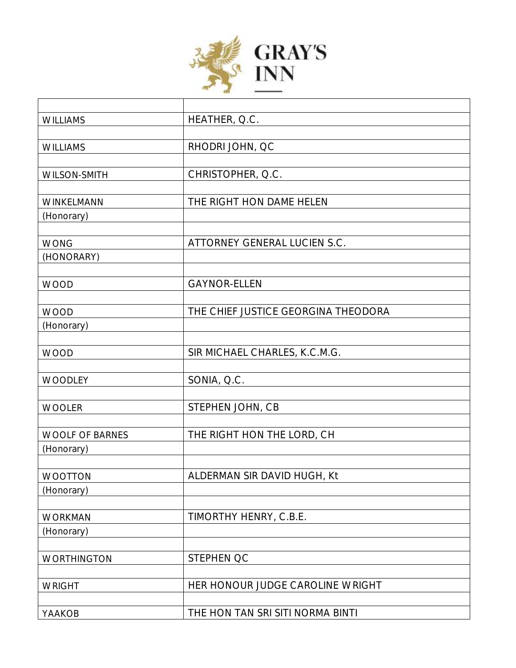

| <b>WILLIAMS</b>        | HEATHER, Q.C.                       |
|------------------------|-------------------------------------|
|                        |                                     |
| <b>WILLIAMS</b>        | RHODRI JOHN, QC                     |
|                        |                                     |
| WILSON-SMITH           | CHRISTOPHER, Q.C.                   |
|                        |                                     |
| WINKELMANN             | THE RIGHT HON DAME HELEN            |
| (Honorary)             |                                     |
|                        |                                     |
| <b>WONG</b>            | ATTORNEY GENERAL LUCIEN S.C.        |
| (HONORARY)             |                                     |
|                        |                                     |
| <b>WOOD</b>            | <b>GAYNOR-ELLEN</b>                 |
|                        |                                     |
| <b>WOOD</b>            | THE CHIEF JUSTICE GEORGINA THEODORA |
| (Honorary)             |                                     |
| <b>WOOD</b>            | SIR MICHAEL CHARLES, K.C.M.G.       |
|                        |                                     |
| WOODLEY                | SONIA, Q.C.                         |
|                        |                                     |
| <b>WOOLER</b>          | STEPHEN JOHN, CB                    |
|                        |                                     |
| <b>WOOLF OF BARNES</b> | THE RIGHT HON THE LORD, CH          |
| (Honorary)             |                                     |
|                        |                                     |
| WOOTTON                | ALDERMAN SIR DAVID HUGH, Kt         |
| (Honorary)             |                                     |
|                        |                                     |
| <b>WORKMAN</b>         | TIMORTHY HENRY, C.B.E.              |
| (Honorary)             |                                     |
|                        |                                     |
| WORTHINGTON            | STEPHEN QC                          |
|                        |                                     |
| <b>WRIGHT</b>          | HER HONOUR JUDGE CAROLINE WRIGHT    |
|                        |                                     |
| YAAKOB                 | THE HON TAN SRI SITI NORMA BINTI    |